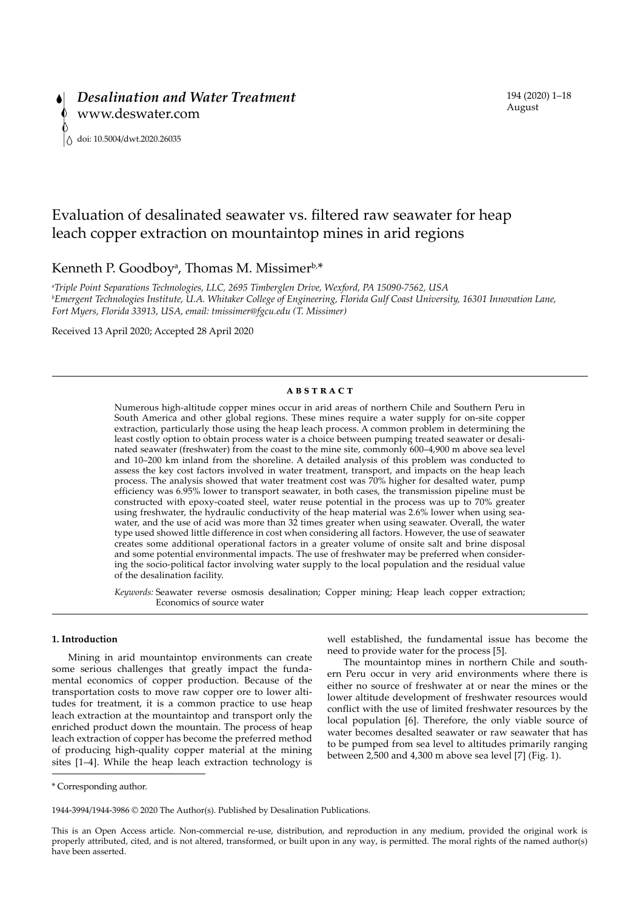# Evaluation of desalinated seawater vs. filtered raw seawater for heap leach copper extraction on mountaintop mines in arid regions

Kenneth P. Goodboy<sup>a</sup>, Thomas M. Missimer<sup>b,\*</sup>

*a Triple Point Separations Technologies, LLC, 2695 Timberglen Drive, Wexford, PA 15090-7562, USA b Emergent Technologies Institute, U.A. Whitaker College of Engineering, Florida Gulf Coast University, 16301 Innovation Lane, Fort Myers, Florida 33913, USA, email: tmissimer@fgcu.edu (T. Missimer)*

Received 13 April 2020; Accepted 28 April 2020

#### **ABSTRACT**

Numerous high-altitude copper mines occur in arid areas of northern Chile and Southern Peru in South America and other global regions. These mines require a water supply for on-site copper extraction, particularly those using the heap leach process. A common problem in determining the least costly option to obtain process water is a choice between pumping treated seawater or desalinated seawater (freshwater) from the coast to the mine site, commonly 600–4,900 m above sea level and 10–200 km inland from the shoreline. A detailed analysis of this problem was conducted to assess the key cost factors involved in water treatment, transport, and impacts on the heap leach process. The analysis showed that water treatment cost was 70% higher for desalted water, pump efficiency was 6.95% lower to transport seawater, in both cases, the transmission pipeline must be constructed with epoxy-coated steel, water reuse potential in the process was up to 70% greater using freshwater, the hydraulic conductivity of the heap material was 2.6% lower when using seawater, and the use of acid was more than 32 times greater when using seawater. Overall, the water type used showed little difference in cost when considering all factors. However, the use of seawater creates some additional operational factors in a greater volume of onsite salt and brine disposal and some potential environmental impacts. The use of freshwater may be preferred when considering the socio-political factor involving water supply to the local population and the residual value of the desalination facility.

*Keywords:* Seawater reverse osmosis desalination; Copper mining; Heap leach copper extraction; Economics of source water

# **1. Introduction**

Mining in arid mountaintop environments can create some serious challenges that greatly impact the fundamental economics of copper production. Because of the transportation costs to move raw copper ore to lower altitudes for treatment, it is a common practice to use heap leach extraction at the mountaintop and transport only the enriched product down the mountain. The process of heap leach extraction of copper has become the preferred method of producing high-quality copper material at the mining sites [1–4]. While the heap leach extraction technology is well established, the fundamental issue has become the need to provide water for the process [5].

The mountaintop mines in northern Chile and southern Peru occur in very arid environments where there is either no source of freshwater at or near the mines or the lower altitude development of freshwater resources would conflict with the use of limited freshwater resources by the local population [6]. Therefore, the only viable source of water becomes desalted seawater or raw seawater that has to be pumped from sea level to altitudes primarily ranging between 2,500 and 4,300 m above sea level [7] (Fig. 1).

\* Corresponding author.

1944-3994/1944-3986 © 2020 The Author(s). Published by Desalination Publications.

This is an Open Access article. Non-commercial re-use, distribution, and reproduction in any medium, provided the original work is properly attributed, cited, and is not altered, transformed, or built upon in any way, is permitted. The moral rights of the named author(s) have been asserted.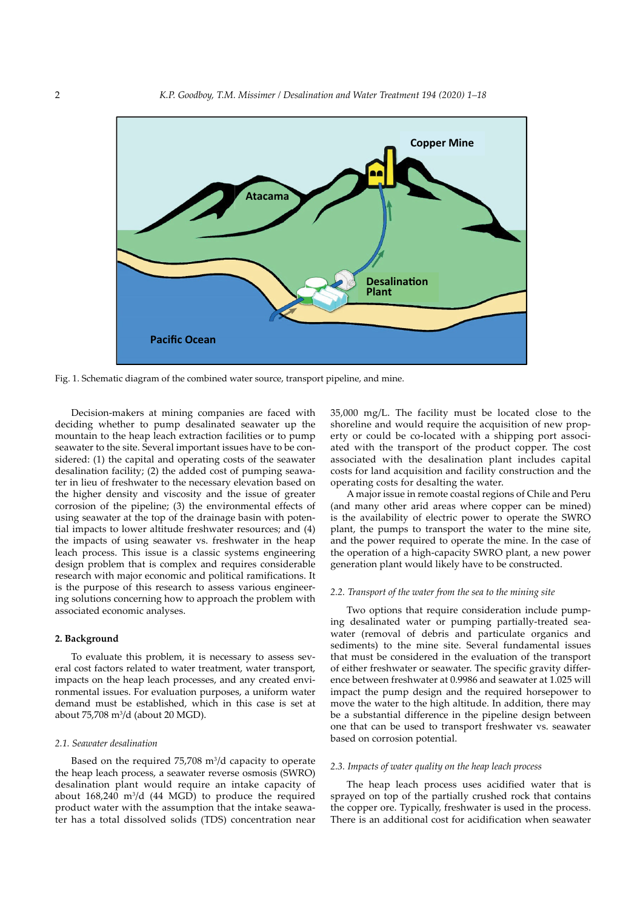

Fig. 1. Schematic diagram of the combined water source, transport pipeline, and mine.

Decision-makers at mining companies are faced with deciding whether to pump desalinated seawater up the mountain to the heap leach extraction facilities or to pump seawater to the site. Several important issues have to be considered: (1) the capital and operating costs of the seawater desalination facility; (2) the added cost of pumping seawater in lieu of freshwater to the necessary elevation based on the higher density and viscosity and the issue of greater corrosion of the pipeline; (3) the environmental effects of using seawater at the top of the drainage basin with potential impacts to lower altitude freshwater resources; and (4) the impacts of using seawater vs. freshwater in the heap leach process. This issue is a classic systems engineering design problem that is complex and requires considerable research with major economic and political ramifications. It is the purpose of this research to assess various engineering solutions concerning how to approach the problem with associated economic analyses.

# **2. Background**

To evaluate this problem, it is necessary to assess several cost factors related to water treatment, water transport, impacts on the heap leach processes, and any created environmental issues. For evaluation purposes, a uniform water demand must be established, which in this case is set at about 75,708 m<sup>3</sup> /d (about 20 MGD).

#### *2.1. Seawater desalination*

Based on the required  $75,708$  m<sup>3</sup>/d capacity to operate the heap leach process, a seawater reverse osmosis (SWRO) desalination plant would require an intake capacity of about  $168,240 \text{ m}^3/\text{d}$  (44 MGD) to produce the required product water with the assumption that the intake seawater has a total dissolved solids (TDS) concentration near

35,000 mg/L. The facility must be located close to the shoreline and would require the acquisition of new property or could be co-located with a shipping port associated with the transport of the product copper. The cost associated with the desalination plant includes capital costs for land acquisition and facility construction and the operating costs for desalting the water.

A major issue in remote coastal regions of Chile and Peru (and many other arid areas where copper can be mined) is the availability of electric power to operate the SWRO plant, the pumps to transport the water to the mine site, and the power required to operate the mine. In the case of the operation of a high-capacity SWRO plant, a new power generation plant would likely have to be constructed.

#### *2.2. Transport of the water from the sea to the mining site*

Two options that require consideration include pumping desalinated water or pumping partially-treated seawater (removal of debris and particulate organics and sediments) to the mine site. Several fundamental issues that must be considered in the evaluation of the transport of either freshwater or seawater. The specific gravity difference between freshwater at 0.9986 and seawater at 1.025 will impact the pump design and the required horsepower to move the water to the high altitude. In addition, there may be a substantial difference in the pipeline design between one that can be used to transport freshwater vs. seawater based on corrosion potential.

# *2.3. Impacts of water quality on the heap leach process*

The heap leach process uses acidified water that is sprayed on top of the partially crushed rock that contains the copper ore. Typically, freshwater is used in the process. There is an additional cost for acidification when seawater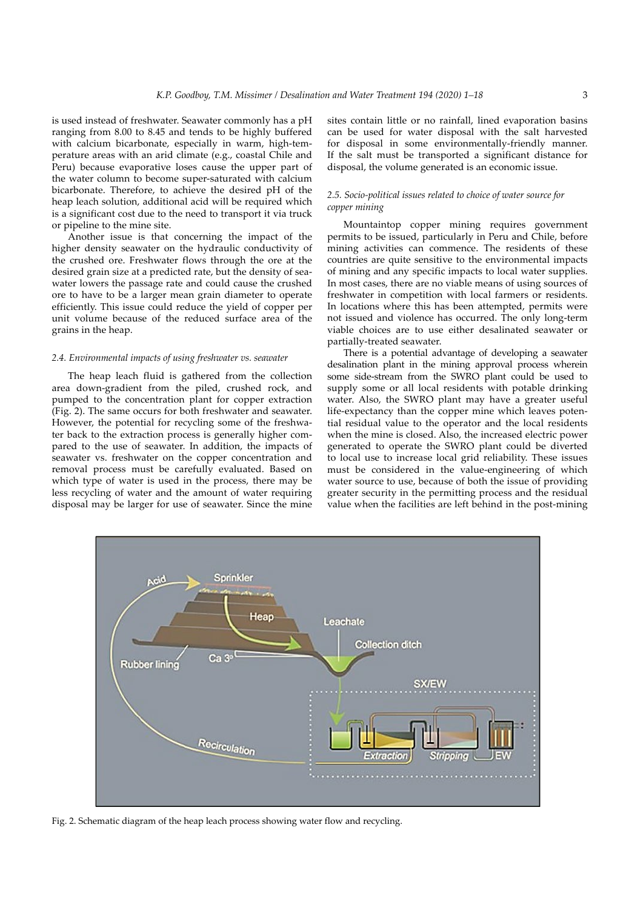is used instead of freshwater. Seawater commonly has a pH ranging from 8.00 to 8.45 and tends to be highly buffered with calcium bicarbonate, especially in warm, high-temperature areas with an arid climate (e.g., coastal Chile and Peru) because evaporative loses cause the upper part of the water column to become super-saturated with calcium bicarbonate. Therefore, to achieve the desired pH of the heap leach solution, additional acid will be required which is a significant cost due to the need to transport it via truck or pipeline to the mine site.

Another issue is that concerning the impact of the higher density seawater on the hydraulic conductivity of the crushed ore. Freshwater flows through the ore at the desired grain size at a predicted rate, but the density of seawater lowers the passage rate and could cause the crushed ore to have to be a larger mean grain diameter to operate efficiently. This issue could reduce the yield of copper per unit volume because of the reduced surface area of the grains in the heap.

# *2.4. Environmental impacts of using freshwater vs. seawater*

The heap leach fluid is gathered from the collection area down-gradient from the piled, crushed rock, and pumped to the concentration plant for copper extraction (Fig. 2). The same occurs for both freshwater and seawater. However, the potential for recycling some of the freshwater back to the extraction process is generally higher compared to the use of seawater. In addition, the impacts of seawater vs. freshwater on the copper concentration and removal process must be carefully evaluated. Based on which type of water is used in the process, there may be less recycling of water and the amount of water requiring disposal may be larger for use of seawater. Since the mine

sites contain little or no rainfall, lined evaporation basins can be used for water disposal with the salt harvested for disposal in some environmentally-friendly manner. If the salt must be transported a significant distance for disposal, the volume generated is an economic issue.

# *2.5. Socio-political issues related to choice of water source for copper mining*

Mountaintop copper mining requires government permits to be issued, particularly in Peru and Chile, before mining activities can commence. The residents of these countries are quite sensitive to the environmental impacts of mining and any specific impacts to local water supplies. In most cases, there are no viable means of using sources of freshwater in competition with local farmers or residents. In locations where this has been attempted, permits were not issued and violence has occurred. The only long-term viable choices are to use either desalinated seawater or partially-treated seawater.

There is a potential advantage of developing a seawater desalination plant in the mining approval process wherein some side-stream from the SWRO plant could be used to supply some or all local residents with potable drinking water. Also, the SWRO plant may have a greater useful life-expectancy than the copper mine which leaves potential residual value to the operator and the local residents when the mine is closed. Also, the increased electric power generated to operate the SWRO plant could be diverted to local use to increase local grid reliability. These issues must be considered in the value-engineering of which water source to use, because of both the issue of providing greater security in the permitting process and the residual value when the facilities are left behind in the post-mining



Fig. 2. Schematic diagram of the heap leach process showing water flow and recycling.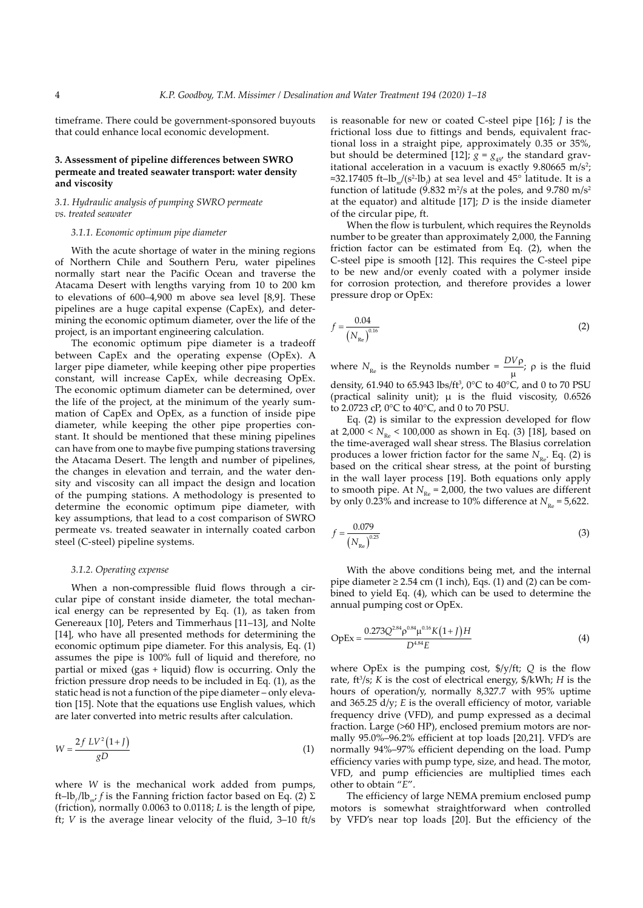timeframe. There could be government-sponsored buyouts that could enhance local economic development.

# **3. Assessment of pipeline differences between SWRO permeate and treated seawater transport: water density and viscosity**

# *3.1. Hydraulic analysis of pumping SWRO permeate vs. treated seawater*

#### *3.1.1. Economic optimum pipe diameter*

With the acute shortage of water in the mining regions of Northern Chile and Southern Peru, water pipelines normally start near the Pacific Ocean and traverse the Atacama Desert with lengths varying from 10 to 200 km to elevations of 600–4,900 m above sea level [8,9]. These pipelines are a huge capital expense (CapEx), and determining the economic optimum diameter, over the life of the project, is an important engineering calculation.

The economic optimum pipe diameter is a tradeoff between CapEx and the operating expense (OpEx). A larger pipe diameter, while keeping other pipe properties constant, will increase CapEx, while decreasing OpEx. The economic optimum diameter can be determined, over the life of the project, at the minimum of the yearly summation of CapEx and OpEx, as a function of inside pipe diameter, while keeping the other pipe properties constant. It should be mentioned that these mining pipelines can have from one to maybe five pumping stations traversing the Atacama Desert. The length and number of pipelines, the changes in elevation and terrain, and the water density and viscosity can all impact the design and location of the pumping stations. A methodology is presented to determine the economic optimum pipe diameter, with key assumptions, that lead to a cost comparison of SWRO permeate vs. treated seawater in internally coated carbon steel (C-steel) pipeline systems.

#### *3.1.2. Operating expense*

When a non-compressible fluid flows through a circular pipe of constant inside diameter, the total mechanical energy can be represented by Eq. (1), as taken from Genereaux [10], Peters and Timmerhaus [11–13], and Nolte [14], who have all presented methods for determining the economic optimum pipe diameter. For this analysis, Eq. (1) assumes the pipe is 100% full of liquid and therefore, no partial or mixed (gas + liquid) flow is occurring. Only the friction pressure drop needs to be included in Eq. (1), as the static head is not a function of the pipe diameter – only elevation [15]. Note that the equations use English values, which are later converted into metric results after calculation.

$$
W = \frac{2f\ L V^2 \left(1 + J\right)}{gD} \tag{1}
$$

where *W* is the mechanical work added from pumps, ft–lb*<sup>f</sup>* /lb*m*; *f* is the Fanning friction factor based on Eq. (2) Σ (friction), normally 0.0063 to 0.0118; *L* is the length of pipe, ft; *V* is the average linear velocity of the fluid, 3–10 ft/s is reasonable for new or coated C-steel pipe [16]; *J* is the frictional loss due to fittings and bends, equivalent fractional loss in a straight pipe, approximately 0.35 or 35%, but should be determined [12];  $g = g_{45}$ , the standard gravitational acceleration in a vacuum is exactly  $9.80665 \text{ m/s}^2$ ; ≈32.17405 ft–lb<sub>*m</sub>*/(s<sup>2</sup>·lb<sub>*f*</sub>) at sea level and 45° latitude. It is a</sub> function of latitude (9.832 m<sup>2</sup>/s at the poles, and 9.780 m/s<sup>2</sup> at the equator) and altitude [17]; *D* is the inside diameter of the circular pipe, ft.

When the flow is turbulent, which requires the Reynolds number to be greater than approximately 2,000, the Fanning friction factor can be estimated from Eq. (2), when the C-steel pipe is smooth [12]. This requires the C-steel pipe to be new and/or evenly coated with a polymer inside for corrosion protection, and therefore provides a lower pressure drop or OpEx:

$$
f = \frac{0.04}{(N_{\rm Re})^{0.16}}
$$
 (2)

where  $N_{\text{Re}}$  is the Reynolds number =  $\frac{DV\rho}{\mu}$ ;  $\rho$  is the fluid density, 61.940 to 65.943 lbs/ft<sup>3</sup>,  $0^{\circ}$ C to 40 $^{\circ}$ C, and 0 to 70 PSU (practical salinity unit); μ is the fluid viscosity, 0.6526 to 2.0723 cP, 0°C to 40°C, and 0 to 70 PSU.

Eq. (2) is similar to the expression developed for flow at  $2,000 < N_{R_P} < 100,000$  as shown in Eq. (3) [18], based on the time-averaged wall shear stress. The Blasius correlation produces a lower friction factor for the same  $N_{\text{Re}}$ . Eq. (2) is based on the critical shear stress, at the point of bursting in the wall layer process [19]. Both equations only apply to smooth pipe. At  $N_{\text{Re}}$  = 2,000, the two values are different by only 0.23% and increase to 10% difference at  $N_{R_0} = 5{,}622$ .

$$
f = \frac{0.079}{\left(N_{\text{Re}}\right)^{0.25}}
$$
 (3)

With the above conditions being met, and the internal pipe diameter  $\geq$  2.54 cm (1 inch), Eqs. (1) and (2) can be combined to yield Eq. (4), which can be used to determine the annual pumping cost or OpEx.

$$
OpEx = \frac{0.273Q^{2.84} \rho^{0.84} \mu^{0.16} K(1+J)H}{D^{4.84} E}
$$
 (4)

where OpEx is the pumping cost, \$/y/ft; *Q* is the flow rate, ft<sup>3</sup>/s; *K* is the cost of electrical energy, \$/kWh; *H* is the hours of operation/y, normally 8,327.7 with 95% uptime and 365.25 d/y; *E* is the overall efficiency of motor, variable frequency drive (VFD), and pump expressed as a decimal fraction. Large (>60 HP), enclosed premium motors are normally 95.0%–96.2% efficient at top loads [20,21]. VFD's are normally 94%–97% efficient depending on the load. Pump efficiency varies with pump type, size, and head. The motor, VFD, and pump efficiencies are multiplied times each other to obtain "*E*".

The efficiency of large NEMA premium enclosed pump motors is somewhat straightforward when controlled by VFD's near top loads [20]. But the efficiency of the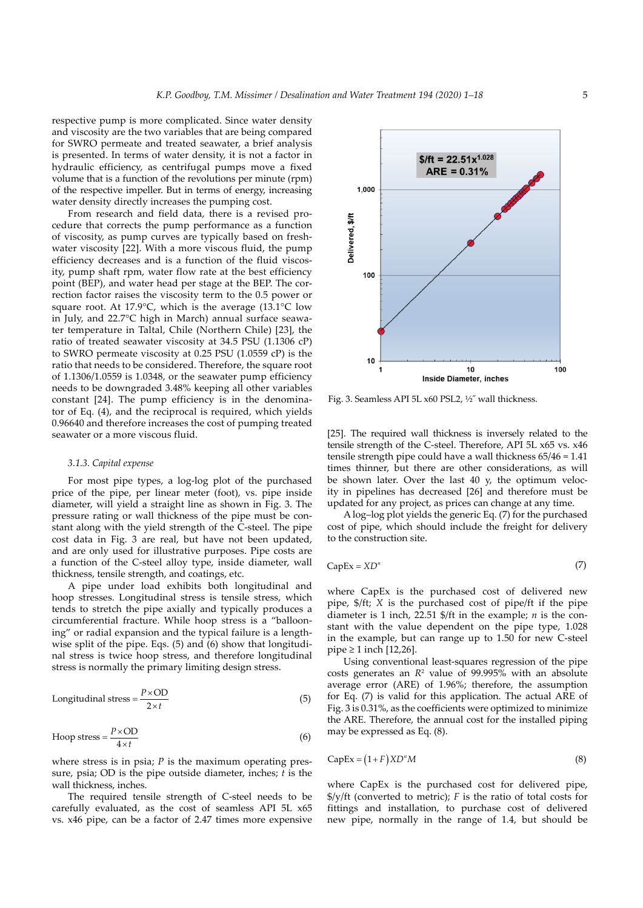respective pump is more complicated. Since water density and viscosity are the two variables that are being compared for SWRO permeate and treated seawater, a brief analysis is presented. In terms of water density, it is not a factor in hydraulic efficiency, as centrifugal pumps move a fixed volume that is a function of the revolutions per minute (rpm) of the respective impeller. But in terms of energy, increasing water density directly increases the pumping cost.

From research and field data, there is a revised procedure that corrects the pump performance as a function of viscosity, as pump curves are typically based on freshwater viscosity [22]. With a more viscous fluid, the pump efficiency decreases and is a function of the fluid viscosity, pump shaft rpm, water flow rate at the best efficiency point (BEP), and water head per stage at the BEP. The correction factor raises the viscosity term to the 0.5 power or square root. At 17.9°C, which is the average (13.1°C low in July, and 22.7°C high in March) annual surface seawater temperature in Taltal, Chile (Northern Chile) [23], the ratio of treated seawater viscosity at 34.5 PSU (1.1306 cP) to SWRO permeate viscosity at 0.25 PSU (1.0559 cP) is the ratio that needs to be considered. Therefore, the square root of 1.1306/1.0559 is 1.0348, or the seawater pump efficiency needs to be downgraded 3.48% keeping all other variables constant [24]. The pump efficiency is in the denominator of Eq. (4), and the reciprocal is required, which yields 0.96640 and therefore increases the cost of pumping treated seawater or a more viscous fluid.

#### *3.1.3. Capital expense*

For most pipe types, a log-log plot of the purchased price of the pipe, per linear meter (foot), vs. pipe inside diameter, will yield a straight line as shown in Fig. 3. The pressure rating or wall thickness of the pipe must be constant along with the yield strength of the C-steel. The pipe cost data in Fig. 3 are real, but have not been updated, and are only used for illustrative purposes. Pipe costs are a function of the C-steel alloy type, inside diameter, wall thickness, tensile strength, and coatings, etc.

A pipe under load exhibits both longitudinal and hoop stresses. Longitudinal stress is tensile stress, which tends to stretch the pipe axially and typically produces a circumferential fracture. While hoop stress is a "ballooning" or radial expansion and the typical failure is a lengthwise split of the pipe. Eqs. (5) and (6) show that longitudinal stress is twice hoop stress, and therefore longitudinal stress is normally the primary limiting design stress.

Longitudinal stress = 
$$
\frac{P \times OD}{2 \times t}
$$
 (5)

$$
Hoop stress = \frac{P \times OD}{4 \times t}
$$
 (6)

where stress is in psia; *P* is the maximum operating pressure, psia; OD is the pipe outside diameter, inches; *t* is the wall thickness, inches.

The required tensile strength of C-steel needs to be carefully evaluated, as the cost of seamless API 5L x65 vs. x46 pipe, can be a factor of 2.47 times more expensive



Fig. 3. Seamless API 5L x60 PSL2, ½˝ wall thickness.

[25]. The required wall thickness is inversely related to the tensile strength of the C-steel. Therefore, API 5L x65 vs. x46 tensile strength pipe could have a wall thickness 65/46 = 1.41 times thinner, but there are other considerations, as will be shown later. Over the last 40 y, the optimum velocity in pipelines has decreased [26] and therefore must be updated for any project, as prices can change at any time.

A log–log plot yields the generic Eq. (7) for the purchased cost of pipe, which should include the freight for delivery to the construction site.

$$
CapEx = XD^n \tag{7}
$$

where CapEx is the purchased cost of delivered new pipe, \$/ft; *X* is the purchased cost of pipe/ft if the pipe diameter is 1 inch, 22.51 \$/ft in the example; *n* is the constant with the value dependent on the pipe type, 1.028 in the example, but can range up to 1.50 for new C-steel  $pipe \ge 1$  inch [12,26].

Using conventional least-squares regression of the pipe costs generates an  $R^2$  value of 99.995% with an absolute average error (ARE) of 1.96%; therefore, the assumption for Eq. (7) is valid for this application. The actual ARE of Fig. 3 is 0.31%, as the coefficients were optimized to minimize the ARE. Therefore, the annual cost for the installed piping may be expressed as Eq. (8).

$$
CapEx = (1 + F)XD^nM
$$
 (8)

where CapEx is the purchased cost for delivered pipe, \$/y/ft (converted to metric); *F* is the ratio of total costs for fittings and installation, to purchase cost of delivered new pipe, normally in the range of 1.4, but should be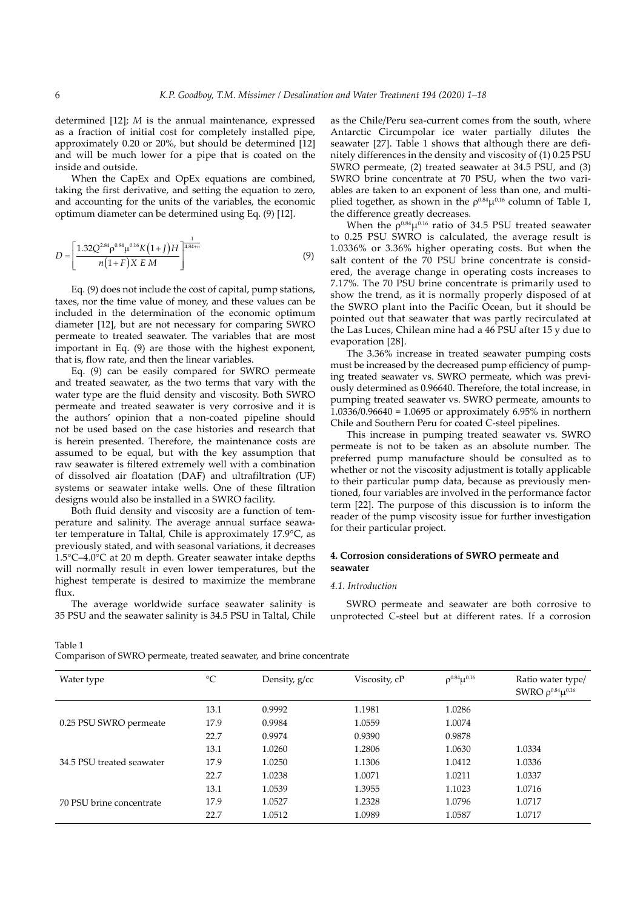determined [12]; *M* is the annual maintenance, expressed as a fraction of initial cost for completely installed pipe, approximately 0.20 or 20%, but should be determined [12] and will be much lower for a pipe that is coated on the inside and outside.

When the CapEx and OpEx equations are combined, taking the first derivative, and setting the equation to zero, and accounting for the units of the variables, the economic optimum diameter can be determined using Eq. (9) [12].

$$
D = \left[\frac{1.32Q^{2.84} \rho^{0.84} \mu^{0.16} K(1+J)H}{n(1+F)X E M}\right]^{4.84+n}
$$
(9)

Eq. (9) does not include the cost of capital, pump stations, taxes, nor the time value of money, and these values can be included in the determination of the economic optimum diameter [12], but are not necessary for comparing SWRO permeate to treated seawater. The variables that are most important in Eq. (9) are those with the highest exponent, that is, flow rate, and then the linear variables.

Eq. (9) can be easily compared for SWRO permeate and treated seawater, as the two terms that vary with the water type are the fluid density and viscosity. Both SWRO permeate and treated seawater is very corrosive and it is the authors' opinion that a non-coated pipeline should not be used based on the case histories and research that is herein presented. Therefore, the maintenance costs are assumed to be equal, but with the key assumption that raw seawater is filtered extremely well with a combination of dissolved air floatation (DAF) and ultrafiltration (UF) systems or seawater intake wells. One of these filtration designs would also be installed in a SWRO facility.

Both fluid density and viscosity are a function of temperature and salinity. The average annual surface seawater temperature in Taltal, Chile is approximately 17.9°C, as previously stated, and with seasonal variations, it decreases 1.5°C–4.0°C at 20 m depth. Greater seawater intake depths will normally result in even lower temperatures, but the highest temperate is desired to maximize the membrane flux.

The average worldwide surface seawater salinity is 35 PSU and the seawater salinity is 34.5 PSU in Taltal, Chile as the Chile/Peru sea-current comes from the south, where Antarctic Circumpolar ice water partially dilutes the seawater [27]. Table 1 shows that although there are definitely differences in the density and viscosity of (1) 0.25 PSU SWRO permeate, (2) treated seawater at 34.5 PSU, and (3) SWRO brine concentrate at 70 PSU, when the two variables are taken to an exponent of less than one, and multiplied together, as shown in the  $\rho^{0.84} \mu^{0.16}$  column of Table 1, the difference greatly decreases.

When the  $\rho^{0.84} \mu^{0.16}$  ratio of 34.5 PSU treated seawater to 0.25 PSU SWRO is calculated, the average result is 1.0336% or 3.36% higher operating costs. But when the salt content of the 70 PSU brine concentrate is considered, the average change in operating costs increases to 7.17%. The 70 PSU brine concentrate is primarily used to show the trend, as it is normally properly disposed of at the SWRO plant into the Pacific Ocean, but it should be pointed out that seawater that was partly recirculated at the Las Luces, Chilean mine had a 46 PSU after 15 y due to evaporation [28].

The 3.36% increase in treated seawater pumping costs must be increased by the decreased pump efficiency of pumping treated seawater vs. SWRO permeate, which was previously determined as 0.96640. Therefore, the total increase, in pumping treated seawater vs. SWRO permeate, amounts to 1.0336/0.96640 = 1.0695 or approximately 6.95% in northern Chile and Southern Peru for coated C-steel pipelines.

This increase in pumping treated seawater vs. SWRO permeate is not to be taken as an absolute number. The preferred pump manufacture should be consulted as to whether or not the viscosity adjustment is totally applicable to their particular pump data, because as previously mentioned, four variables are involved in the performance factor term [22]. The purpose of this discussion is to inform the reader of the pump viscosity issue for further investigation for their particular project.

# **4. Corrosion considerations of SWRO permeate and seawater**

#### *4.1. Introduction*

SWRO permeate and seawater are both corrosive to unprotected C-steel but at different rates. If a corrosion

Table 1

Comparison of SWRO permeate, treated seawater, and brine concentrate

| Water type                | $\rm ^{\circ}C$ | Density, g/cc | Viscosity, cP | $\rho^{0.84} \mu^{0.16}$ | Ratio water type/<br>SWRO $\rho^{0.84}\mu^{0.16}$ |
|---------------------------|-----------------|---------------|---------------|--------------------------|---------------------------------------------------|
|                           | 13.1            | 0.9992        | 1.1981        | 1.0286                   |                                                   |
| 0.25 PSU SWRO permeate    | 17.9            | 0.9984        | 1.0559        | 1.0074                   |                                                   |
|                           | 22.7            | 0.9974        | 0.9390        | 0.9878                   |                                                   |
|                           | 13.1            | 1.0260        | 1.2806        | 1.0630                   | 1.0334                                            |
| 34.5 PSU treated seawater | 17.9            | 1.0250        | 1.1306        | 1.0412                   | 1.0336                                            |
|                           | 22.7            | 1.0238        | 1.0071        | 1.0211                   | 1.0337                                            |
|                           | 13.1            | 1.0539        | 1.3955        | 1.1023                   | 1.0716                                            |
| 70 PSU brine concentrate  | 17.9            | 1.0527        | 1.2328        | 1.0796                   | 1.0717                                            |
|                           | 22.7            | 1.0512        | 1.0989        | 1.0587                   | 1.0717                                            |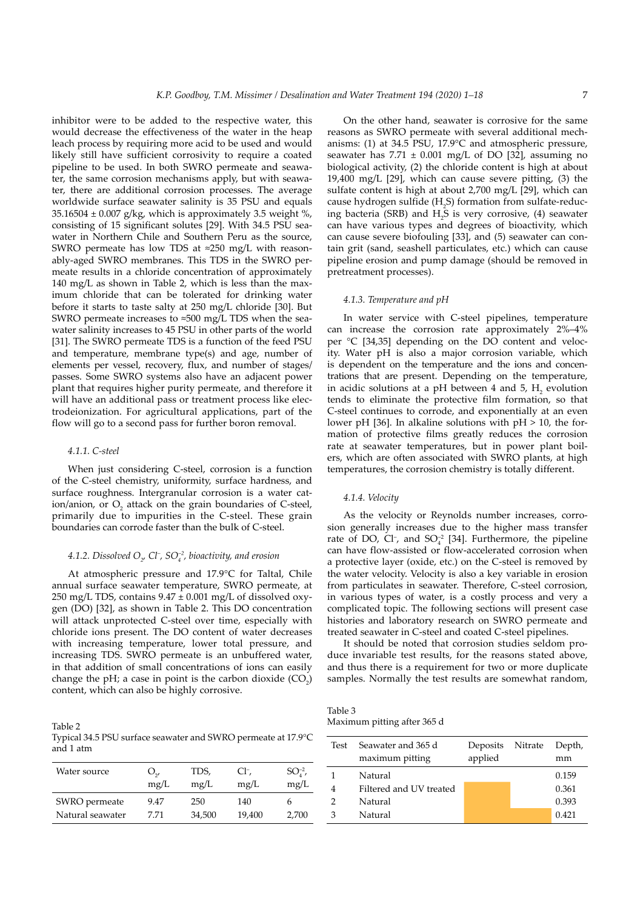inhibitor were to be added to the respective water, this would decrease the effectiveness of the water in the heap leach process by requiring more acid to be used and would likely still have sufficient corrosivity to require a coated pipeline to be used. In both SWRO permeate and seawater, the same corrosion mechanisms apply, but with seawater, there are additional corrosion processes. The average worldwide surface seawater salinity is 35 PSU and equals 35.16504  $\pm$  0.007 g/kg, which is approximately 3.5 weight %, consisting of 15 significant solutes [29]. With 34.5 PSU seawater in Northern Chile and Southern Peru as the source, SWRO permeate has low TDS at ≈250 mg/L with reasonably-aged SWRO membranes. This TDS in the SWRO permeate results in a chloride concentration of approximately 140 mg/L as shown in Table 2, which is less than the maximum chloride that can be tolerated for drinking water before it starts to taste salty at 250 mg/L chloride [30]. But SWRO permeate increases to ≈500 mg/L TDS when the seawater salinity increases to 45 PSU in other parts of the world [31]. The SWRO permeate TDS is a function of the feed PSU and temperature, membrane type(s) and age, number of elements per vessel, recovery, flux, and number of stages/ passes. Some SWRO systems also have an adjacent power plant that requires higher purity permeate, and therefore it will have an additional pass or treatment process like electrodeionization. For agricultural applications, part of the flow will go to a second pass for further boron removal.

#### *4.1.1. C-steel*

When just considering C-steel, corrosion is a function of the C-steel chemistry, uniformity, surface hardness, and surface roughness. Intergranular corrosion is a water cation/anion, or  $O_2$  attack on the grain boundaries of C-steel, primarily due to impurities in the C-steel. These grain boundaries can corrode faster than the bulk of C-steel.

# 4.1.2. Dissolved O<sub>2</sub>, Cl<sup>-</sup>, SO<sup>-2</sup>, bioactivity, and erosion

At atmospheric pressure and 17.9°C for Taltal, Chile annual surface seawater temperature, SWRO permeate, at 250 mg/L TDS, contains  $9.47 \pm 0.001$  mg/L of dissolved oxygen (DO) [32], as shown in Table 2. This DO concentration will attack unprotected C-steel over time, especially with chloride ions present. The DO content of water decreases with increasing temperature, lower total pressure, and increasing TDS. SWRO permeate is an unbuffered water, in that addition of small concentrations of ions can easily change the pH; a case in point is the carbon dioxide  $(CO_2)$ content, which can also be highly corrosive.

Table 2 Typical 34.5 PSU surface seawater and SWRO permeate at 17.9°C and 1 atm

| Water source     | $O_{\gamma}$ | TDS,   | Cl <sup>-</sup> , | $SO_4^{-2}$ , |
|------------------|--------------|--------|-------------------|---------------|
|                  | mg/L         | mg/L   | mg/L              | mg/L          |
| SWRO permeate    | 9.47         | 250    | 140               | h             |
| Natural seawater | 7.71         | 34,500 | 19,400            | 2,700         |

On the other hand, seawater is corrosive for the same reasons as SWRO permeate with several additional mechanisms: (1) at 34.5 PSU, 17.9°C and atmospheric pressure, seawater has  $7.71 \pm 0.001$  mg/L of DO [32], assuming no biological activity, (2) the chloride content is high at about 19,400 mg/L [29], which can cause severe pitting, (3) the sulfate content is high at about 2,700 mg/L [29], which can cause hydrogen sulfide  $(H_2S)$  formation from sulfate-reducing bacteria (SRB) and  $H_2S$  is very corrosive, (4) seawater can have various types and degrees of bioactivity, which can cause severe biofouling [33], and (5) seawater can contain grit (sand, seashell particulates, etc.) which can cause pipeline erosion and pump damage (should be removed in pretreatment processes).

#### *4.1.3. Temperature and pH*

In water service with C-steel pipelines, temperature can increase the corrosion rate approximately 2%–4% per °C [34,35] depending on the DO content and velocity. Water pH is also a major corrosion variable, which is dependent on the temperature and the ions and concentrations that are present. Depending on the temperature, in acidic solutions at a pH between 4 and 5,  $H_2$  evolution tends to eliminate the protective film formation, so that C-steel continues to corrode, and exponentially at an even lower pH [36]. In alkaline solutions with  $pH > 10$ , the formation of protective films greatly reduces the corrosion rate at seawater temperatures, but in power plant boilers, which are often associated with SWRO plants, at high temperatures, the corrosion chemistry is totally different.

#### *4.1.4. Velocity*

As the velocity or Reynolds number increases, corrosion generally increases due to the higher mass transfer rate of DO, Cl<sup>-</sup>, and SO $_4^{\text{-2}}$  [34]. Furthermore, the pipeline can have flow-assisted or flow-accelerated corrosion when a protective layer (oxide, etc.) on the C-steel is removed by the water velocity. Velocity is also a key variable in erosion from particulates in seawater. Therefore, C-steel corrosion, in various types of water, is a costly process and very a complicated topic. The following sections will present case histories and laboratory research on SWRO permeate and treated seawater in C-steel and coated C-steel pipelines.

It should be noted that corrosion studies seldom produce invariable test results, for the reasons stated above, and thus there is a requirement for two or more duplicate samples. Normally the test results are somewhat random,

Table 3 Maximum pitting after 365 d

| Test | Seawater and 365 d<br>maximum pitting | Deposits<br>applied | Nitrate | Depth,<br>mm |
|------|---------------------------------------|---------------------|---------|--------------|
|      | Natural                               |                     |         | 0.159        |
|      | Filtered and UV treated               |                     |         | 0.361        |
| 2    | Natural                               |                     |         | 0.393        |
| З    | Natural                               |                     |         | 0.421        |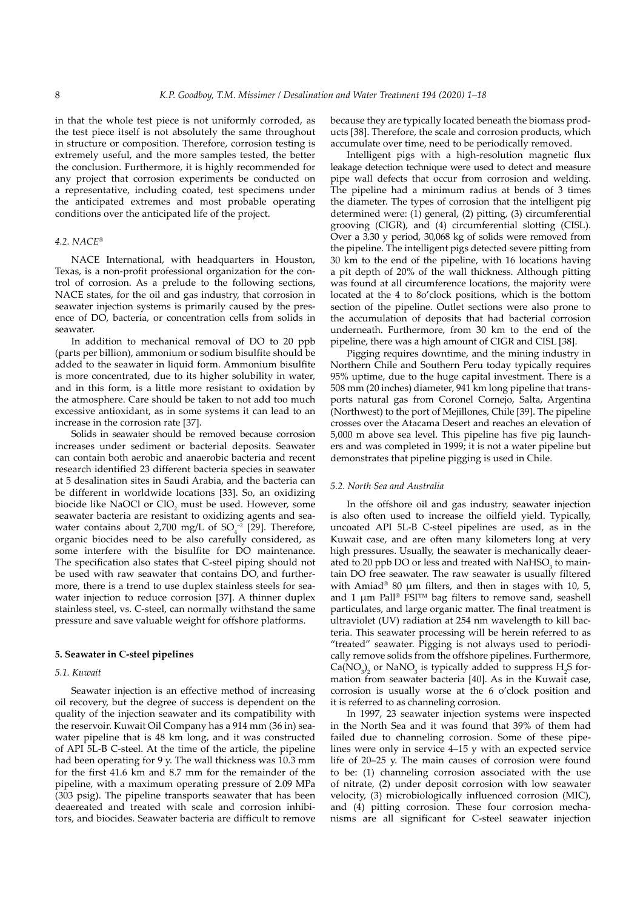in that the whole test piece is not uniformly corroded, as the test piece itself is not absolutely the same throughout in structure or composition. Therefore, corrosion testing is extremely useful, and the more samples tested, the better the conclusion. Furthermore, it is highly recommended for any project that corrosion experiments be conducted on a representative, including coated, test specimens under the anticipated extremes and most probable operating conditions over the anticipated life of the project.

#### *4.2. NACE®*

NACE International, with headquarters in Houston, Texas, is a non-profit professional organization for the control of corrosion. As a prelude to the following sections, NACE states, for the oil and gas industry, that corrosion in seawater injection systems is primarily caused by the presence of DO, bacteria, or concentration cells from solids in seawater.

In addition to mechanical removal of DO to 20 ppb (parts per billion), ammonium or sodium bisulfite should be added to the seawater in liquid form. Ammonium bisulfite is more concentrated, due to its higher solubility in water, and in this form, is a little more resistant to oxidation by the atmosphere. Care should be taken to not add too much excessive antioxidant, as in some systems it can lead to an increase in the corrosion rate [37].

Solids in seawater should be removed because corrosion increases under sediment or bacterial deposits. Seawater can contain both aerobic and anaerobic bacteria and recent research identified 23 different bacteria species in seawater at 5 desalination sites in Saudi Arabia, and the bacteria can be different in worldwide locations [33]. So, an oxidizing biocide like NaOCl or  $\mathop{\rm ClO}\nolimits_2$  must be used. However, some seawater bacteria are resistant to oxidizing agents and seawater contains about 2,700 mg/L of  $SO_4^{-2}$  [29]. Therefore, organic biocides need to be also carefully considered, as some interfere with the bisulfite for DO maintenance. The specification also states that C-steel piping should not be used with raw seawater that contains DO, and furthermore, there is a trend to use duplex stainless steels for seawater injection to reduce corrosion [37]. A thinner duplex stainless steel, vs. C-steel, can normally withstand the same pressure and save valuable weight for offshore platforms.

# **5. Seawater in C-steel pipelines**

# *5.1. Kuwait*

Seawater injection is an effective method of increasing oil recovery, but the degree of success is dependent on the quality of the injection seawater and its compatibility with the reservoir. Kuwait Oil Company has a 914 mm (36 in) seawater pipeline that is 48 km long, and it was constructed of API 5L-B C-steel. At the time of the article, the pipeline had been operating for 9 y. The wall thickness was 10.3 mm for the first 41.6 km and 8.7 mm for the remainder of the pipeline, with a maximum operating pressure of 2.09 MPa (303 psig). The pipeline transports seawater that has been deaereated and treated with scale and corrosion inhibitors, and biocides. Seawater bacteria are difficult to remove because they are typically located beneath the biomass products [38]. Therefore, the scale and corrosion products, which accumulate over time, need to be periodically removed.

Intelligent pigs with a high-resolution magnetic flux leakage detection technique were used to detect and measure pipe wall defects that occur from corrosion and welding. The pipeline had a minimum radius at bends of 3 times the diameter. The types of corrosion that the intelligent pig determined were: (1) general, (2) pitting, (3) circumferential grooving (CIGR), and (4) circumferential slotting (CISL). Over a 3.30 y period, 30,068 kg of solids were removed from the pipeline. The intelligent pigs detected severe pitting from 30 km to the end of the pipeline, with 16 locations having a pit depth of 20% of the wall thickness. Although pitting was found at all circumference locations, the majority were located at the 4 to 8o'clock positions, which is the bottom section of the pipeline. Outlet sections were also prone to the accumulation of deposits that had bacterial corrosion underneath. Furthermore, from 30 km to the end of the pipeline, there was a high amount of CIGR and CISL [38].

Pigging requires downtime, and the mining industry in Northern Chile and Southern Peru today typically requires 95% uptime, due to the huge capital investment. There is a 508 mm (20 inches) diameter, 941 km long pipeline that transports natural gas from Coronel Cornejo, Salta, Argentina (Northwest) to the port of Mejillones, Chile [39]. The pipeline crosses over the Atacama Desert and reaches an elevation of 5,000 m above sea level. This pipeline has five pig launchers and was completed in 1999; it is not a water pipeline but demonstrates that pipeline pigging is used in Chile.

#### *5.2. North Sea and Australia*

In the offshore oil and gas industry, seawater injection is also often used to increase the oilfield yield. Typically, uncoated API 5L-B C-steel pipelines are used, as in the Kuwait case, and are often many kilometers long at very high pressures. Usually, the seawater is mechanically deaerated to 20 ppb DO or less and treated with  $\text{NaHSO}_3$  to maintain DO free seawater. The raw seawater is usually filtered with Amiad<sup>®</sup> 80 μm filters, and then in stages with 10, 5, and 1 μm Pall® FSI™ bag filters to remove sand, seashell particulates, and large organic matter. The final treatment is ultraviolet (UV) radiation at 254 nm wavelength to kill bacteria. This seawater processing will be herein referred to as "treated" seawater. Pigging is not always used to periodically remove solids from the offshore pipelines. Furthermore,  $Ca(NO<sub>3</sub>)<sub>2</sub>$  or NaNO<sub>3</sub> is typically added to suppress H<sub>2</sub>S formation from seawater bacteria [40]. As in the Kuwait case, corrosion is usually worse at the 6 o'clock position and it is referred to as channeling corrosion.

In 1997, 23 seawater injection systems were inspected in the North Sea and it was found that 39% of them had failed due to channeling corrosion. Some of these pipelines were only in service 4–15 y with an expected service life of 20–25 y. The main causes of corrosion were found to be: (1) channeling corrosion associated with the use of nitrate, (2) under deposit corrosion with low seawater velocity, (3) microbiologically influenced corrosion (MIC), and (4) pitting corrosion. These four corrosion mechanisms are all significant for C-steel seawater injection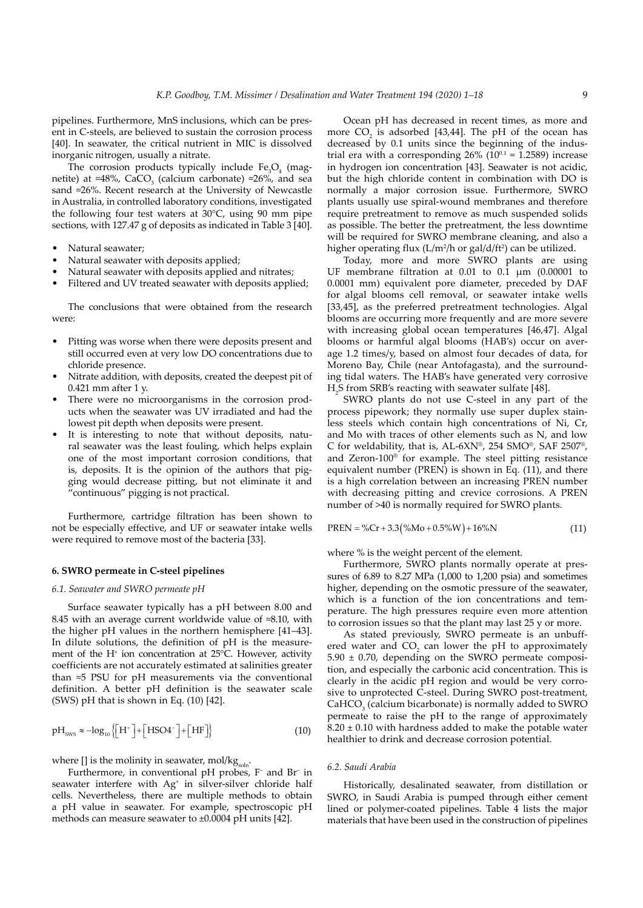pipelines. Furthermore, MnS inclusions, which can be present in C-steels, are believed to sustain the corrosion process [40]. In seawater, the critical nutrient in MIC is dissolved inorganic nitrogen, usually a nitrate.

The corrosion products typically include  $Fe<sub>3</sub>O<sub>4</sub>$  (magnetite) at ≈48%, CaCO<sub>3</sub> (calcium carbonate) ≈26%, and sea sand ≈26%. Recent research at the University of Newcastle in Australia, in controlled laboratory conditions, investigated the following four test waters at 30°C, using 90 mm pipe sections, with 127.47 g of deposits as indicated in Table 3 [40].

- Natural seawater;
- Natural seawater with deposits applied;
- Natural seawater with deposits applied and nitrates;
- Filtered and UV treated seawater with deposits applied;

The conclusions that were obtained from the research were:

- Pitting was worse when there were deposits present and still occurred even at very low DO concentrations due to chloride presence.
- Nitrate addition, with deposits, created the deepest pit of 0.421 mm after 1 y.
- There were no microorganisms in the corrosion products when the seawater was UV irradiated and had the lowest pit depth when deposits were present.
- It is interesting to note that without deposits, natural seawater was the least fouling, which helps explain one of the most important corrosion conditions, that is, deposits. It is the opinion of the authors that pigging would decrease pitting, but not eliminate it and "continuous" pigging is not practical.

Furthermore, cartridge filtration has been shown to not be especially effective, and UF or seawater intake wells were required to remove most of the bacteria [33].

#### **6. SWRO permeate in C-steel pipelines**

#### *6.1. Seawater and SWRO permeate pH*

Surface seawater typically has a pH between 8.00 and 8.45 with an average current worldwide value of ≈8.10, with the higher pH values in the northern hemisphere [41–43]. In dilute solutions, the definition of pH is the measurement of the H<sup>+</sup> ion concentration at 25°C. However, activity coefficients are not accurately estimated at salinities greater than ≈5 PSU for pH measurements via the conventional definition. A better pH definition is the seawater scale (SWS) pH that is shown in Eq. (10) [42].

$$
pH_{\text{sws}} \approx -\log_{10}\left\{ \left[ H^+ \right] + \left[ HSO4^- \right] + \left[ HF \right] \right\} \tag{10}
$$

where [] is the molinity in seawater, mol/kgsoln.

Furthermore, in conventional pH probes, F<sup>-</sup> and Br<sup>-</sup> in seawater interfere with Ag<sup>+</sup> in silver-silver chloride half cells. Nevertheless, there are multiple methods to obtain a pH value in seawater. For example, spectroscopic pH methods can measure seawater to ±0.0004 pH units [42].

Ocean pH has decreased in recent times, as more and more  $CO_2$  is adsorbed [43,44]. The pH of the ocean has decreased by 0.1 units since the beginning of the industrial era with a corresponding  $26\%$  ( $10^{0.1}$  = 1.2589) increase in hydrogen ion concentration [43]. Seawater is not acidic, but the high chloride content in combination with DO is normally a major corrosion issue. Furthermore, SWRO plants usually use spiral-wound membranes and therefore require pretreatment to remove as much suspended solids as possible. The better the pretreatment, the less downtime will be required for SWRO membrane cleaning, and also a higher operating flux (L/m<sup>2</sup>/h or gal/d/ft<sup>2</sup>) can be utilized.

Today, more and more SWRO plants are using UF membrane filtration at 0.01 to 0.1 μm (0.00001 to 0.0001 mm) equivalent pore diameter, preceded by DAF for algal blooms cell removal, or seawater intake wells [33,45], as the preferred pretreatment technologies. Algal blooms are occurring more frequently and are more severe with increasing global ocean temperatures [46,47]. Algal blooms or harmful algal blooms (HAB's) occur on average 1.2 times/y, based on almost four decades of data, for Moreno Bay, Chile (near Antofagasta), and the surrounding tidal waters. The HAB's have generated very corrosive H2 S from SRB's reacting with seawater sulfate [48].

SWRO plants do not use C-steel in any part of the process pipework; they normally use super duplex stainless steels which contain high concentrations of Ni, Cr, and Mo with traces of other elements such as N, and low C for weldability, that is, AL-6XN®, 254 SMO®, SAF 2507®, and Zeron-100® for example. The steel pitting resistance equivalent number (PREN) is shown in Eq. (11), and there is a high correlation between an increasing PREN number with decreasing pitting and crevice corrosions. A PREN number of >40 is normally required for SWRO plants.

$$
PREN = \%Cr + 3.3(^{\%}Mo + 0.5\%W) + 16\%N
$$
\n(11)

where % is the weight percent of the element.

Furthermore, SWRO plants normally operate at pressures of 6.89 to 8.27 MPa (1,000 to 1,200 psia) and sometimes higher, depending on the osmotic pressure of the seawater, which is a function of the ion concentrations and temperature. The high pressures require even more attention to corrosion issues so that the plant may last 25 y or more.

As stated previously, SWRO permeate is an unbuffered water and  $CO<sub>2</sub>$  can lower the pH to approximately 5.90 ± 0.70, depending on the SWRO permeate composition, and especially the carbonic acid concentration. This is clearly in the acidic pH region and would be very corrosive to unprotected C-steel. During SWRO post-treatment,  $CaHCO<sub>3</sub>$  (calcium bicarbonate) is normally added to SWRO permeate to raise the pH to the range of approximately  $8.20 \pm 0.10$  with hardness added to make the potable water healthier to drink and decrease corrosion potential.

#### *6.2. Saudi Arabia*

Historically, desalinated seawater, from distillation or SWRO, in Saudi Arabia is pumped through either cement lined or polymer-coated pipelines. Table 4 lists the major materials that have been used in the construction of pipelines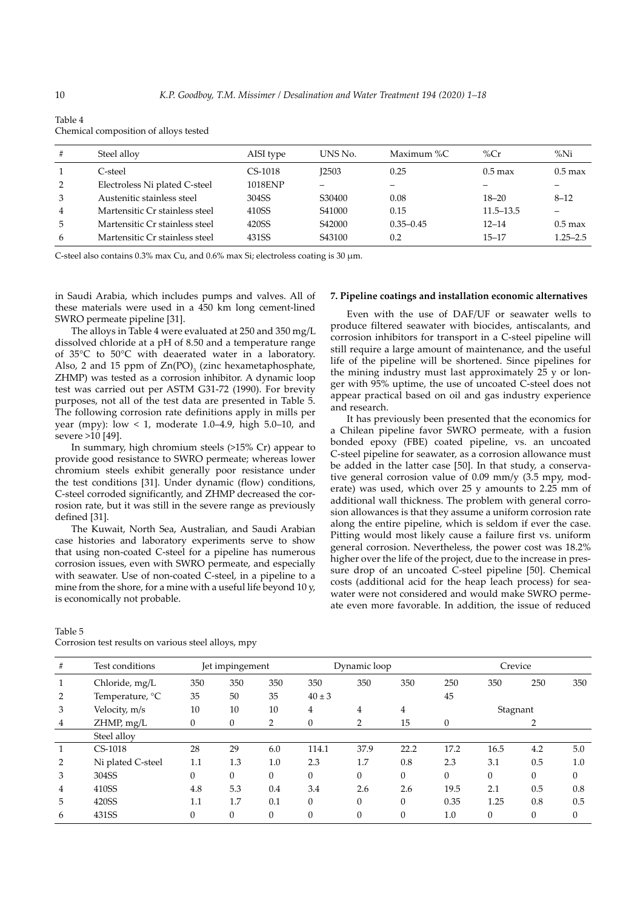|    | hemical composition of alloys tested. |           |                    |               |               |                      |
|----|---------------------------------------|-----------|--------------------|---------------|---------------|----------------------|
| #  | Steel alloy                           | AISI type | UNS No.            | Maximum %C    | % $Cr$        | $\%$ Ni              |
|    | C-steel                               | $CS-1018$ | <b>I2503</b>       | 0.25          | $0.5$ max     | $0.5$ max            |
| 2  | Electroless Ni plated C-steel         | 1018ENP   |                    |               |               |                      |
| 3  | Austenitic stainless steel            | 304SS     | S30400             | 0.08          | $18 - 20$     | $8 - 12$             |
| 4  | Martensitic Cr stainless steel        | 410SS     | S41000             | 0.15          | $11.5 - 13.5$ |                      |
| 5. | Martensitic Cr stainless steel        | 420SS     | S <sub>42000</sub> | $0.35 - 0.45$ | $12 - 14$     | $0.5 \,\mathrm{max}$ |
| 6  | Martensitic Cr stainless steel        | 431SS     | S <sub>43100</sub> | 0.2           | $15 - 17$     | $1.25 - 2.5$         |

Table 4 Chemical composition of alloys tested

C-steel also contains  $0.3\%$  max Cu, and  $0.6\%$  max Si; electroless coating is 30  $\mu$ m.

in Saudi Arabia, which includes pumps and valves. All of these materials were used in a 450 km long cement-lined SWRO permeate pipeline [31].

The alloys in Table 4 were evaluated at 250 and 350 mg/L dissolved chloride at a pH of 8.50 and a temperature range of 35°C to 50°C with deaerated water in a laboratory. Also, 2 and 15 ppm of  $Zn(PO)$ <sub>3</sub> (zinc hexametaphosphate, ZHMP) was tested as a corrosion inhibitor. A dynamic loop test was carried out per ASTM G31-72 (1990). For brevity purposes, not all of the test data are presented in Table 5. The following corrosion rate definitions apply in mills per year (mpy): low < 1, moderate 1.0–4.9, high 5.0–10, and severe >10 [49].

In summary, high chromium steels (>15% Cr) appear to provide good resistance to SWRO permeate; whereas lower chromium steels exhibit generally poor resistance under the test conditions [31]. Under dynamic (flow) conditions, C-steel corroded significantly, and ZHMP decreased the corrosion rate, but it was still in the severe range as previously defined [31].

The Kuwait, North Sea, Australian, and Saudi Arabian case histories and laboratory experiments serve to show that using non-coated C-steel for a pipeline has numerous corrosion issues, even with SWRO permeate, and especially with seawater. Use of non-coated C-steel, in a pipeline to a mine from the shore, for a mine with a useful life beyond 10 y, is economically not probable.

#### **7. Pipeline coatings and installation economic alternatives**

Even with the use of DAF/UF or seawater wells to produce filtered seawater with biocides, antiscalants, and corrosion inhibitors for transport in a C-steel pipeline will still require a large amount of maintenance, and the useful life of the pipeline will be shortened. Since pipelines for the mining industry must last approximately 25 y or longer with 95% uptime, the use of uncoated C-steel does not appear practical based on oil and gas industry experience and research.

It has previously been presented that the economics for a Chilean pipeline favor SWRO permeate, with a fusion bonded epoxy (FBE) coated pipeline, vs. an uncoated C-steel pipeline for seawater, as a corrosion allowance must be added in the latter case [50]. In that study, a conservative general corrosion value of 0.09 mm/y (3.5 mpy, moderate) was used, which over 25 y amounts to 2.25 mm of additional wall thickness. The problem with general corrosion allowances is that they assume a uniform corrosion rate along the entire pipeline, which is seldom if ever the case. Pitting would most likely cause a failure first vs. uniform general corrosion. Nevertheless, the power cost was 18.2% higher over the life of the project, due to the increase in pressure drop of an uncoated C-steel pipeline [50]. Chemical costs (additional acid for the heap leach process) for seawater were not considered and would make SWRO permeate even more favorable. In addition, the issue of reduced

| #              | Test conditions   |     | Jet impingement |          |            | Dynamic loop   |                |          | Crevice  |          |          |
|----------------|-------------------|-----|-----------------|----------|------------|----------------|----------------|----------|----------|----------|----------|
| 1              | Chloride, mg/L    | 350 | 350             | 350      | 350        | 350            | 350            | 250      | 350      | 250      | 350      |
| 2              | Temperature, °C   | 35  | 50              | 35       | $40 \pm 3$ |                |                | 45       |          |          |          |
| 3              | Velocity, m/s     | 10  | 10              | 10       | 4          | $\overline{4}$ | $\overline{4}$ |          | Stagnant |          |          |
| $\overline{4}$ | ZHMP, mg/L        | 0   | $\theta$        | 2        | $\theta$   | 2              | 15             | $\theta$ |          |          |          |
|                | Steel alloy       |     |                 |          |            |                |                |          |          |          |          |
| 1              | $CS-1018$         | 28  | 29              | 6.0      | 114.1      | 37.9           | 22.2           | 17.2     | 16.5     | 4.2      | 5.0      |
| 2              | Ni plated C-steel | 1.1 | 1.3             | 1.0      | 2.3        | 1.7            | 0.8            | 2.3      | 3.1      | 0.5      | 1.0      |
| 3              | 304SS             | 0   | $\Omega$        | $\Omega$ | $\Omega$   | $\theta$       | $\theta$       | $\theta$ | $\Omega$ | $\Omega$ | $\theta$ |
| 4              | 410SS             | 4.8 | 5.3             | 0.4      | 3.4        | 2.6            | 2.6            | 19.5     | 2.1      | 0.5      | 0.8      |
| 5              | 420SS             | 1.1 | 1.7             | 0.1      | $\theta$   | $\Omega$       | $\theta$       | 0.35     | 1.25     | 0.8      | 0.5      |
| 6              | 431SS             | 0   | $\theta$        | 0        | $\Omega$   |                | $\Omega$       | 1.0      | $\theta$ | $\Omega$ | $\Omega$ |

Table 5 Corrosion test results on various steel alloys, mpy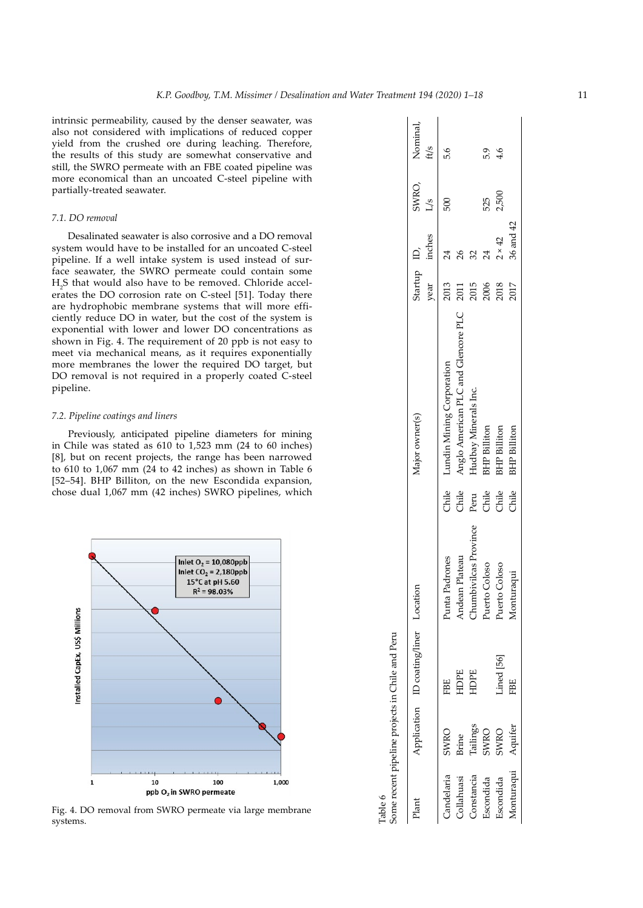intrinsic permeability, caused by the denser seawater, was also not considered with implications of reduced copper yield from the crushed ore during leaching. Therefore, the results of this study are somewhat conservative and still, the SWRO permeate with an FBE coated pipeline was more economical than an uncoated C-steel pipeline with partially-treated seawater.

# *7.1. DO removal*

Desalinated seawater is also corrosive and a DO removal system would have to be installed for an uncoated C-steel pipeline. If a well intake system is used instead of surface seawater, the SWRO permeate could contain some H2 S that would also have to be removed. Chloride accelerates the DO corrosion rate on C-steel [51]. Today there are hydrophobic membrane systems that will more efficiently reduce DO in water, but the cost of the system is exponential with lower and lower DO concentrations as shown in Fig. 4. The requirement of 20 ppb is not easy to meet via mechanical means, as it requires exponentially more membranes the lower the required DO target, but DO removal is not required in a properly coated C-steel pipeline.

#### *7.2. Pipeline coatings and liners*

Previously, anticipated pipeline diameters for mining in Chile was stated as 610 to 1,523 mm (24 to 60 inches) [8], but on recent projects, the range has been narrowed to 610 to 1,067 mm (24 to 42 inches) as shown in Table 6 [52–54]. BHP Billiton, on the new Escondida expansion, chose dual 1,067 mm (42 inches) SWRO pipelines, which



Fig. 4. DO removal from SWRO permeate via large membrane systems.

| Table 6    |          | Some recent pipeline projects in Chile and Peru |                              |            |                                     |                     |               |               |                        |
|------------|----------|-------------------------------------------------|------------------------------|------------|-------------------------------------|---------------------|---------------|---------------|------------------------|
| Plant      |          | Application ID coating/liner Location           |                              |            | Major owner(s)                      | Startup ID,<br>year | inches        | $\frac{5}{7}$ | SWRO, Nominal,<br>ft/s |
| Candelaria | SWRO     | FBE                                             | Punta Padrones               | Chile<br>C | Lundin Mining Corporation           | 2013                | 24            | 500           | 9.9                    |
| Collahuasi | Brine    | HDPE                                            | Andean Plateau               | Chile      | Anglo American PLC and Glencore PLC | 2011                |               |               |                        |
| Constancia | Tailings | HDPE                                            | <b>Chumbivilcas</b> Province | Peru       | Hudbay Minerals Inc.                | 2015                |               |               |                        |
| Escondida  | SWRO     |                                                 | Puerto Coloso                | Chile      | <b>BHP</b> Billiton                 | 2006<br>2018        | 24            | 525           | 5.9                    |
| Escondida  | SWRO     | Lined [56]                                      | Puerto Coloso                | Chile      | <b>BHP</b> Billiton                 |                     | $2 \times 42$ | 2,500         | 4.6                    |
| Monturaqui | Aquifer  | FBE                                             | Monturaqui                   | Chile      | <b>BHP</b> Billiton                 | 2017                | 36 and 42     |               |                        |
|            |          |                                                 |                              |            |                                     |                     |               |               |                        |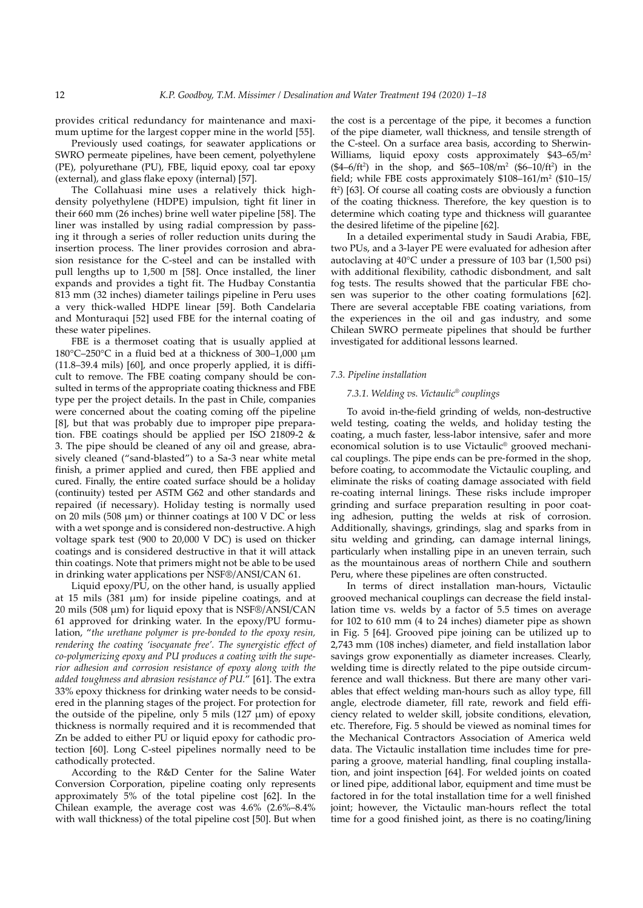provides critical redundancy for maintenance and maximum uptime for the largest copper mine in the world [55].

Previously used coatings, for seawater applications or SWRO permeate pipelines, have been cement, polyethylene (PE), polyurethane (PU), FBE, liquid epoxy, coal tar epoxy (external), and glass flake epoxy (internal) [57].

The Collahuasi mine uses a relatively thick highdensity polyethylene (HDPE) impulsion, tight fit liner in their 660 mm (26 inches) brine well water pipeline [58]. The liner was installed by using radial compression by passing it through a series of roller reduction units during the insertion process. The liner provides corrosion and abrasion resistance for the C-steel and can be installed with pull lengths up to 1,500 m [58]. Once installed, the liner expands and provides a tight fit. The Hudbay Constantia 813 mm (32 inches) diameter tailings pipeline in Peru uses a very thick-walled HDPE linear [59]. Both Candelaria and Monturaqui [52] used FBE for the internal coating of these water pipelines.

FBE is a thermoset coating that is usually applied at 180°C–250°C in a fluid bed at a thickness of 300–1,000 μm (11.8–39.4 mils) [60], and once properly applied, it is difficult to remove. The FBE coating company should be consulted in terms of the appropriate coating thickness and FBE type per the project details. In the past in Chile, companies were concerned about the coating coming off the pipeline [8], but that was probably due to improper pipe preparation. FBE coatings should be applied per ISO 21809-2 & 3. The pipe should be cleaned of any oil and grease, abrasively cleaned ("sand-blasted") to a Sa-3 near white metal finish, a primer applied and cured, then FBE applied and cured. Finally, the entire coated surface should be a holiday (continuity) tested per ASTM G62 and other standards and repaired (if necessary). Holiday testing is normally used on 20 mils (508 μm) or thinner coatings at 100 V DC or less with a wet sponge and is considered non-destructive. A high voltage spark test (900 to 20,000 V DC) is used on thicker coatings and is considered destructive in that it will attack thin coatings. Note that primers might not be able to be used in drinking water applications per NSF®/ANSI/CAN 61.

Liquid epoxy/PU, on the other hand, is usually applied at 15 mils (381 μm) for inside pipeline coatings, and at 20 mils (508 μm) for liquid epoxy that is NSF®/ANSI/CAN 61 approved for drinking water. In the epoxy/PU formulation, "*the urethane polymer is pre-bonded to the epoxy resin, rendering the coating 'isocyanate free'. The synergistic effect of co-polymerizing epoxy and PU produces a coating with the superior adhesion and corrosion resistance of epoxy along with the added toughness and abrasion resistance of PU.*" [61]. The extra 33% epoxy thickness for drinking water needs to be considered in the planning stages of the project. For protection for the outside of the pipeline, only  $\bar{5}$  mils (127  $\mu$ m) of epoxy thickness is normally required and it is recommended that Zn be added to either PU or liquid epoxy for cathodic protection [60]. Long C-steel pipelines normally need to be cathodically protected.

According to the R&D Center for the Saline Water Conversion Corporation, pipeline coating only represents approximately 5% of the total pipeline cost [62]. In the Chilean example, the average cost was 4.6% (2.6%–8.4% with wall thickness) of the total pipeline cost [50]. But when the cost is a percentage of the pipe, it becomes a function of the pipe diameter, wall thickness, and tensile strength of the C-steel. On a surface area basis, according to Sherwin-Williams, liquid epoxy costs approximately \$43-65/m<sup>2</sup>  $($4-6/ft^2)$$  in the shop, and \$65-108/m<sup>2</sup> (\$6-10/ft<sup>2</sup>) in the field; while FBE costs approximately \$108–161/m<sup>2</sup> (\$10–15/ ft<sup>2</sup>) [63]. Of course all coating costs are obviously a function of the coating thickness. Therefore, the key question is to determine which coating type and thickness will guarantee the desired lifetime of the pipeline [62].

In a detailed experimental study in Saudi Arabia, FBE, two PUs, and a 3-layer PE were evaluated for adhesion after autoclaving at 40°C under a pressure of 103 bar (1,500 psi) with additional flexibility, cathodic disbondment, and salt fog tests. The results showed that the particular FBE chosen was superior to the other coating formulations [62]. There are several acceptable FBE coating variations, from the experiences in the oil and gas industry, and some Chilean SWRO permeate pipelines that should be further investigated for additional lessons learned.

#### *7.3. Pipeline installation*

# *7.3.1. Welding vs. Victaulic® couplings*

To avoid in-the-field grinding of welds, non-destructive weld testing, coating the welds, and holiday testing the coating, a much faster, less-labor intensive, safer and more economical solution is to use Victaulic® grooved mechanical couplings. The pipe ends can be pre-formed in the shop, before coating, to accommodate the Victaulic coupling, and eliminate the risks of coating damage associated with field re-coating internal linings. These risks include improper grinding and surface preparation resulting in poor coating adhesion, putting the welds at risk of corrosion. Additionally, shavings, grindings, slag and sparks from in situ welding and grinding, can damage internal linings, particularly when installing pipe in an uneven terrain, such as the mountainous areas of northern Chile and southern Peru, where these pipelines are often constructed.

In terms of direct installation man-hours, Victaulic grooved mechanical couplings can decrease the field installation time vs. welds by a factor of 5.5 times on average for 102 to 610 mm (4 to 24 inches) diameter pipe as shown in Fig. 5 [64]. Grooved pipe joining can be utilized up to 2,743 mm (108 inches) diameter, and field installation labor savings grow exponentially as diameter increases. Clearly, welding time is directly related to the pipe outside circumference and wall thickness. But there are many other variables that effect welding man-hours such as alloy type, fill angle, electrode diameter, fill rate, rework and field efficiency related to welder skill, jobsite conditions, elevation, etc. Therefore, Fig. 5 should be viewed as nominal times for the Mechanical Contractors Association of America weld data. The Victaulic installation time includes time for preparing a groove, material handling, final coupling installation, and joint inspection [64]. For welded joints on coated or lined pipe, additional labor, equipment and time must be factored in for the total installation time for a well finished joint; however, the Victaulic man-hours reflect the total time for a good finished joint, as there is no coating/lining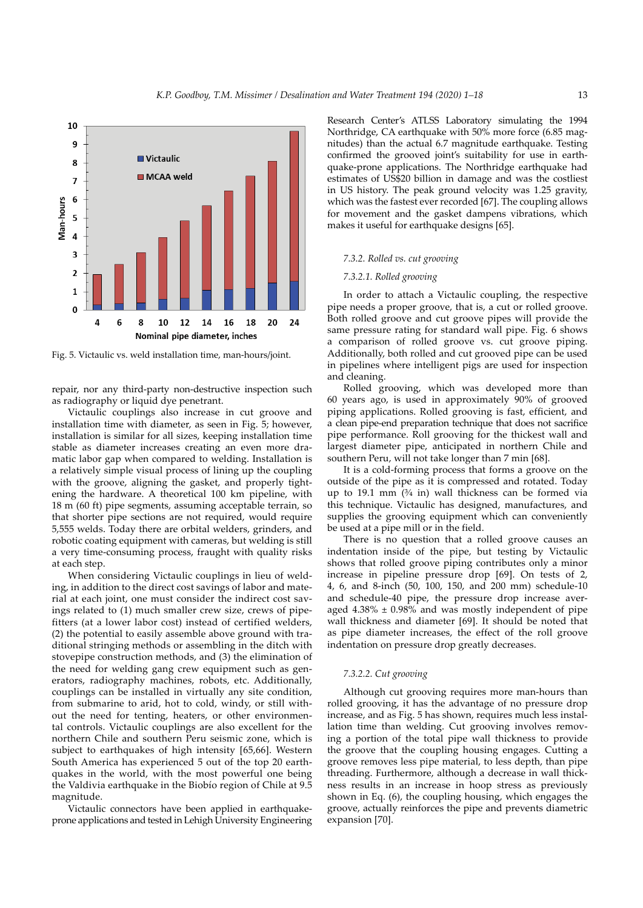

Fig. 5. Victaulic vs. weld installation time, man-hours/joint.

repair, nor any third-party non-destructive inspection such as radiography or liquid dye penetrant.

Victaulic couplings also increase in cut groove and installation time with diameter, as seen in Fig. 5; however, installation is similar for all sizes, keeping installation time stable as diameter increases creating an even more dramatic labor gap when compared to welding. Installation is a relatively simple visual process of lining up the coupling with the groove, aligning the gasket, and properly tightening the hardware. A theoretical 100 km pipeline, with 18 m (60 ft) pipe segments, assuming acceptable terrain, so that shorter pipe sections are not required, would require 5,555 welds. Today there are orbital welders, grinders, and robotic coating equipment with cameras, but welding is still a very time-consuming process, fraught with quality risks at each step.

When considering Victaulic couplings in lieu of welding, in addition to the direct cost savings of labor and material at each joint, one must consider the indirect cost savings related to (1) much smaller crew size, crews of pipefitters (at a lower labor cost) instead of certified welders, (2) the potential to easily assemble above ground with traditional stringing methods or assembling in the ditch with stovepipe construction methods, and (3) the elimination of the need for welding gang crew equipment such as generators, radiography machines, robots, etc. Additionally, couplings can be installed in virtually any site condition, from submarine to arid, hot to cold, windy, or still without the need for tenting, heaters, or other environmental controls. Victaulic couplings are also excellent for the northern Chile and southern Peru seismic zone, which is subject to earthquakes of high intensity [65,66]. Western South America has experienced 5 out of the top 20 earthquakes in the world, with the most powerful one being the Valdivia earthquake in the Biobío region of Chile at 9.5 magnitude.

Victaulic connectors have been applied in earthquakeprone applications and tested in Lehigh University Engineering

Research Center's ATLSS Laboratory simulating the 1994 Northridge, CA earthquake with 50% more force (6.85 magnitudes) than the actual 6.7 magnitude earthquake. Testing confirmed the grooved joint's suitability for use in earthquake-prone applications. The Northridge earthquake had estimates of US\$20 billion in damage and was the costliest in US history. The peak ground velocity was 1.25 gravity, which was the fastest ever recorded [67]. The coupling allows for movement and the gasket dampens vibrations, which makes it useful for earthquake designs [65].

#### *7.3.2. Rolled vs. cut grooving*

#### *7.3.2.1. Rolled grooving*

In order to attach a Victaulic coupling, the respective pipe needs a proper groove, that is, a cut or rolled groove. Both rolled groove and cut groove pipes will provide the same pressure rating for standard wall pipe. Fig. 6 shows a comparison of rolled groove vs. cut groove piping. Additionally, both rolled and cut grooved pipe can be used in pipelines where intelligent pigs are used for inspection and cleaning.

Rolled grooving, which was developed more than 60 years ago, is used in approximately 90% of grooved piping applications. Rolled grooving is fast, efficient, and a clean pipe-end preparation technique that does not sacrifice pipe performance. Roll grooving for the thickest wall and largest diameter pipe, anticipated in northern Chile and southern Peru, will not take longer than 7 min [68].

It is a cold-forming process that forms a groove on the outside of the pipe as it is compressed and rotated. Today up to 19.1 mm (¾ in) wall thickness can be formed via this technique. Victaulic has designed, manufactures, and supplies the grooving equipment which can conveniently be used at a pipe mill or in the field.

There is no question that a rolled groove causes an indentation inside of the pipe, but testing by Victaulic shows that rolled groove piping contributes only a minor increase in pipeline pressure drop [69]. On tests of 2, 4, 6, and 8-inch (50, 100, 150, and 200 mm) schedule-10 and schedule-40 pipe, the pressure drop increase averaged  $4.38\% \pm 0.98\%$  and was mostly independent of pipe wall thickness and diameter [69]. It should be noted that as pipe diameter increases, the effect of the roll groove indentation on pressure drop greatly decreases.

#### *7.3.2.2. Cut grooving*

Although cut grooving requires more man-hours than rolled grooving, it has the advantage of no pressure drop increase, and as Fig. 5 has shown, requires much less installation time than welding. Cut grooving involves removing a portion of the total pipe wall thickness to provide the groove that the coupling housing engages. Cutting a groove removes less pipe material, to less depth, than pipe threading. Furthermore, although a decrease in wall thickness results in an increase in hoop stress as previously shown in Eq. (6), the coupling housing, which engages the groove, actually reinforces the pipe and prevents diametric expansion [70].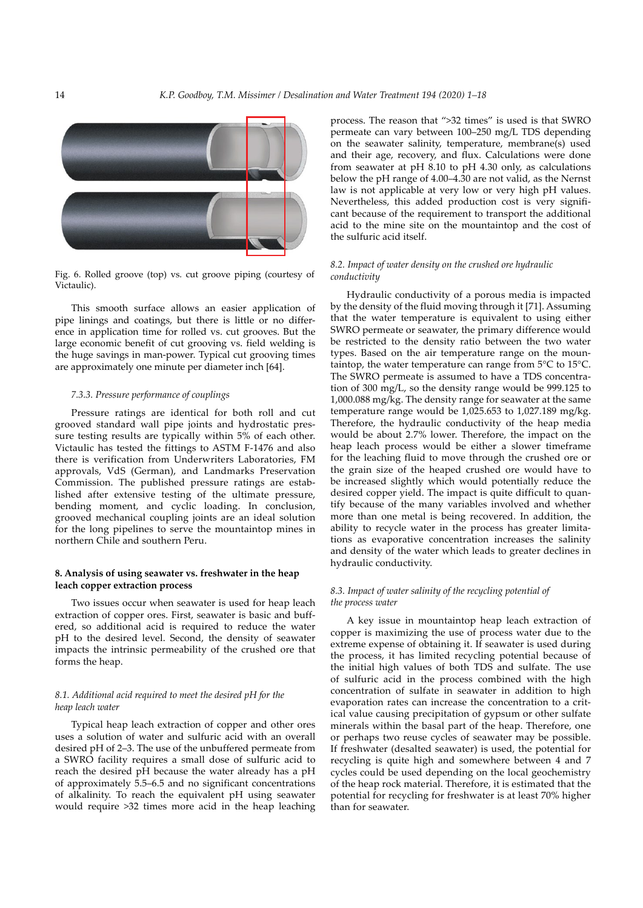

Fig. 6. Rolled groove (top) vs. cut groove piping (courtesy of Victaulic).

This smooth surface allows an easier application of pipe linings and coatings, but there is little or no difference in application time for rolled vs. cut grooves. But the large economic benefit of cut grooving vs. field welding is the huge savings in man-power. Typical cut grooving times are approximately one minute per diameter inch [64].

# *7.3.3. Pressure performance of couplings*

Pressure ratings are identical for both roll and cut grooved standard wall pipe joints and hydrostatic pressure testing results are typically within 5% of each other. Victaulic has tested the fittings to ASTM F-1476 and also there is verification from Underwriters Laboratories, FM approvals, VdS (German), and Landmarks Preservation Commission. The published pressure ratings are established after extensive testing of the ultimate pressure, bending moment, and cyclic loading. In conclusion, grooved mechanical coupling joints are an ideal solution for the long pipelines to serve the mountaintop mines in northern Chile and southern Peru.

# **8. Analysis of using seawater vs. freshwater in the heap leach copper extraction process**

Two issues occur when seawater is used for heap leach extraction of copper ores. First, seawater is basic and buffered, so additional acid is required to reduce the water pH to the desired level. Second, the density of seawater impacts the intrinsic permeability of the crushed ore that forms the heap.

### *8.1. Additional acid required to meet the desired pH for the heap leach water*

Typical heap leach extraction of copper and other ores uses a solution of water and sulfuric acid with an overall desired pH of 2–3. The use of the unbuffered permeate from a SWRO facility requires a small dose of sulfuric acid to reach the desired pH because the water already has a pH of approximately 5.5–6.5 and no significant concentrations of alkalinity. To reach the equivalent pH using seawater would require >32 times more acid in the heap leaching

process. The reason that ">32 times" is used is that SWRO permeate can vary between 100–250 mg/L TDS depending on the seawater salinity, temperature, membrane(s) used and their age, recovery, and flux. Calculations were done from seawater at pH 8.10 to pH 4.30 only, as calculations below the pH range of 4.00–4.30 are not valid, as the Nernst law is not applicable at very low or very high pH values. Nevertheless, this added production cost is very significant because of the requirement to transport the additional acid to the mine site on the mountaintop and the cost of the sulfuric acid itself.

# *8.2. Impact of water density on the crushed ore hydraulic conductivity*

Hydraulic conductivity of a porous media is impacted by the density of the fluid moving through it [71]. Assuming that the water temperature is equivalent to using either SWRO permeate or seawater, the primary difference would be restricted to the density ratio between the two water types. Based on the air temperature range on the mountaintop, the water temperature can range from 5°C to 15°C. The SWRO permeate is assumed to have a TDS concentration of 300 mg/L, so the density range would be 999.125 to 1,000.088 mg/kg. The density range for seawater at the same temperature range would be 1,025.653 to 1,027.189 mg/kg. Therefore, the hydraulic conductivity of the heap media would be about 2.7% lower. Therefore, the impact on the heap leach process would be either a slower timeframe for the leaching fluid to move through the crushed ore or the grain size of the heaped crushed ore would have to be increased slightly which would potentially reduce the desired copper yield. The impact is quite difficult to quantify because of the many variables involved and whether more than one metal is being recovered. In addition, the ability to recycle water in the process has greater limitations as evaporative concentration increases the salinity and density of the water which leads to greater declines in hydraulic conductivity.

# *8.3. Impact of water salinity of the recycling potential of the process water*

A key issue in mountaintop heap leach extraction of copper is maximizing the use of process water due to the extreme expense of obtaining it. If seawater is used during the process, it has limited recycling potential because of the initial high values of both TDS and sulfate. The use of sulfuric acid in the process combined with the high concentration of sulfate in seawater in addition to high evaporation rates can increase the concentration to a critical value causing precipitation of gypsum or other sulfate minerals within the basal part of the heap. Therefore, one or perhaps two reuse cycles of seawater may be possible. If freshwater (desalted seawater) is used, the potential for recycling is quite high and somewhere between 4 and 7 cycles could be used depending on the local geochemistry of the heap rock material. Therefore, it is estimated that the potential for recycling for freshwater is at least 70% higher than for seawater.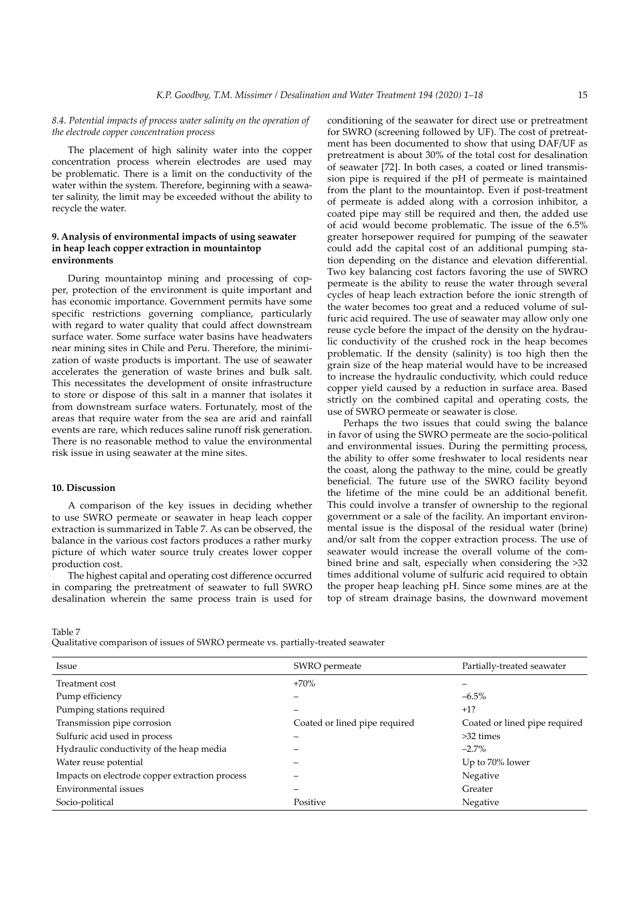# *8.4. Potential impacts of process water salinity on the operation of the electrode copper concentration process*

The placement of high salinity water into the copper concentration process wherein electrodes are used may be problematic. There is a limit on the conductivity of the water within the system. Therefore, beginning with a seawater salinity, the limit may be exceeded without the ability to recycle the water.

# **9. Analysis of environmental impacts of using seawater in heap leach copper extraction in mountaintop environments**

During mountaintop mining and processing of copper, protection of the environment is quite important and has economic importance. Government permits have some specific restrictions governing compliance, particularly with regard to water quality that could affect downstream surface water. Some surface water basins have headwaters near mining sites in Chile and Peru. Therefore, the minimization of waste products is important. The use of seawater accelerates the generation of waste brines and bulk salt. This necessitates the development of onsite infrastructure to store or dispose of this salt in a manner that isolates it from downstream surface waters. Fortunately, most of the areas that require water from the sea are arid and rainfall events are rare, which reduces saline runoff risk generation. There is no reasonable method to value the environmental risk issue in using seawater at the mine sites.

# **10. Discussion**

A comparison of the key issues in deciding whether to use SWRO permeate or seawater in heap leach copper extraction is summarized in Table 7. As can be observed, the balance in the various cost factors produces a rather murky picture of which water source truly creates lower copper production cost.

The highest capital and operating cost difference occurred in comparing the pretreatment of seawater to full SWRO desalination wherein the same process train is used for

conditioning of the seawater for direct use or pretreatment for SWRO (screening followed by UF). The cost of pretreatment has been documented to show that using DAF/UF as pretreatment is about 30% of the total cost for desalination of seawater [72]. In both cases, a coated or lined transmission pipe is required if the pH of permeate is maintained from the plant to the mountaintop. Even if post-treatment of permeate is added along with a corrosion inhibitor, a coated pipe may still be required and then, the added use of acid would become problematic. The issue of the 6.5% greater horsepower required for pumping of the seawater could add the capital cost of an additional pumping station depending on the distance and elevation differential. Two key balancing cost factors favoring the use of SWRO permeate is the ability to reuse the water through several cycles of heap leach extraction before the ionic strength of the water becomes too great and a reduced volume of sulfuric acid required. The use of seawater may allow only one reuse cycle before the impact of the density on the hydraulic conductivity of the crushed rock in the heap becomes problematic. If the density (salinity) is too high then the grain size of the heap material would have to be increased to increase the hydraulic conductivity, which could reduce copper yield caused by a reduction in surface area. Based strictly on the combined capital and operating costs, the use of SWRO permeate or seawater is close.

Perhaps the two issues that could swing the balance in favor of using the SWRO permeate are the socio-political and environmental issues. During the permitting process, the ability to offer some freshwater to local residents near the coast, along the pathway to the mine, could be greatly beneficial. The future use of the SWRO facility beyond the lifetime of the mine could be an additional benefit. This could involve a transfer of ownership to the regional government or a sale of the facility. An important environmental issue is the disposal of the residual water (brine) and/or salt from the copper extraction process. The use of seawater would increase the overall volume of the combined brine and salt, especially when considering the >32 times additional volume of sulfuric acid required to obtain the proper heap leaching pH. Since some mines are at the top of stream drainage basins, the downward movement

Table 7

Qualitative comparison of issues of SWRO permeate vs. partially-treated seawater

| Issue                                          | SWRO permeate                 | Partially-treated seawater    |
|------------------------------------------------|-------------------------------|-------------------------------|
| Treatment cost                                 | $+70%$                        |                               |
| Pump efficiency                                |                               | $-6.5\%$                      |
| Pumping stations required                      |                               | $+1?$                         |
| Transmission pipe corrosion                    | Coated or lined pipe required | Coated or lined pipe required |
| Sulfuric acid used in process                  |                               | $>32 \text{ times}$           |
| Hydraulic conductivity of the heap media       |                               | $-2.7\%$                      |
| Water reuse potential                          |                               | Up to 70% lower               |
| Impacts on electrode copper extraction process |                               | Negative                      |
| Environmental issues                           |                               | Greater                       |
| Socio-political                                | Positive                      | Negative                      |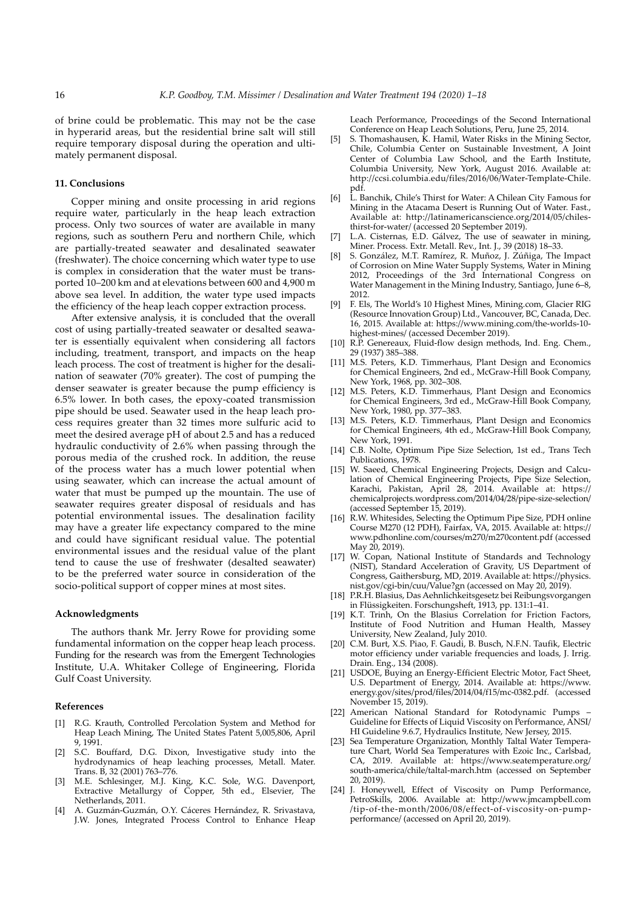of brine could be problematic. This may not be the case in hyperarid areas, but the residential brine salt will still require temporary disposal during the operation and ultimately permanent disposal.

#### **11. Conclusions**

Copper mining and onsite processing in arid regions require water, particularly in the heap leach extraction process. Only two sources of water are available in many regions, such as southern Peru and northern Chile, which are partially-treated seawater and desalinated seawater (freshwater). The choice concerning which water type to use is complex in consideration that the water must be transported 10–200 km and at elevations between 600 and 4,900 m above sea level. In addition, the water type used impacts the efficiency of the heap leach copper extraction process.

After extensive analysis, it is concluded that the overall cost of using partially-treated seawater or desalted seawater is essentially equivalent when considering all factors including, treatment, transport, and impacts on the heap leach process. The cost of treatment is higher for the desalination of seawater (70% greater). The cost of pumping the denser seawater is greater because the pump efficiency is 6.5% lower. In both cases, the epoxy-coated transmission pipe should be used. Seawater used in the heap leach process requires greater than 32 times more sulfuric acid to meet the desired average pH of about 2.5 and has a reduced hydraulic conductivity of 2.6% when passing through the porous media of the crushed rock. In addition, the reuse of the process water has a much lower potential when using seawater, which can increase the actual amount of water that must be pumped up the mountain. The use of seawater requires greater disposal of residuals and has potential environmental issues. The desalination facility may have a greater life expectancy compared to the mine and could have significant residual value. The potential environmental issues and the residual value of the plant tend to cause the use of freshwater (desalted seawater) to be the preferred water source in consideration of the socio-political support of copper mines at most sites.

#### **Acknowledgments**

The authors thank Mr. Jerry Rowe for providing some fundamental information on the copper heap leach process. Funding for the research was from the Emergent Technologies Institute, U.A. Whitaker College of Engineering, Florida Gulf Coast University.

#### **References**

- [1] R.G. Krauth, Controlled Percolation System and Method for Heap Leach Mining, The United States Patent 5,005,806, April 9, 1991.
- [2] S.C. Bouffard, D.G. Dixon, Investigative study into the hydrodynamics of heap leaching processes, Metall. Mater. Trans. B, 32 (2001) 763–776.
- [3] M.E. Schlesinger, M.J. King, K.C. Sole, W.G. Davenport, Extractive Metallurgy of Copper, 5th ed., Elsevier, The Netherlands, 2011.
- [4] A. Guzmán-Guzmán, O.Y. Cáceres Hernández, R. Srivastava, J.W. Jones, Integrated Process Control to Enhance Heap

Leach Performance, Proceedings of the Second International Conference on Heap Leach Solutions, Peru, June 25, 2014.

- [5] S. Thomashausen, K. Hamil, Water Risks in the Mining Sector, Chile, Columbia Center on Sustainable Investment, A Joint Center of Columbia Law School, and the Earth Institute, Columbia University, New York, August 2016. Available at: http://ccsi.columbia.edu/files/2016/06/Water-Template-Chile. pdf.
- [6] L. Banchik, Chile's Thirst for Water: A Chilean City Famous for Mining in the Atacama Desert is Running Out of Water. Fast., Available at: http://latinamericanscience.org/2014/05/chilesthirst-for-water/ (accessed 20 September 2019).
- [7] L.A. Cisternas, E.D. Gálvez, The use of seawater in mining, Miner. Process. Extr. Metall. Rev., Int. J., 39 (2018) 18–33.
- [8] S. González, M.T. Ramírez, R. Muñoz, J. Zúñiga, The Impact of Corrosion on Mine Water Supply Systems, Water in Mining 2012, Proceedings of the 3rd International Congress on Water Management in the Mining Industry, Santiago, June 6-8, 2012.
- [9] F. Els, The World's 10 Highest Mines, Mining.com, Glacier RIG (Resource Innovation Group) Ltd., Vancouver, BC, Canada, Dec. 16, 2015. Available at: https://www.mining.com/the-worlds-10 highest-mines/ (accessed December 2019).
- [10] R.P. Genereaux, Fluid-flow design methods, Ind. Eng. Chem., 29 (1937) 385–388.
- [11] M.S. Peters, K.D. Timmerhaus, Plant Design and Economics for Chemical Engineers, 2nd ed., McGraw-Hill Book Company, New York, 1968, pp. 302–308.
- [12] M.S. Peters, K.D. Timmerhaus, Plant Design and Economics for Chemical Engineers, 3rd ed., McGraw-Hill Book Company, New York, 1980, pp. 377–383.
- [13] M.S. Peters, K.D. Timmerhaus, Plant Design and Economics for Chemical Engineers, 4th ed., McGraw-Hill Book Company, New York, 1991.
- [14] C.B. Nolte, Optimum Pipe Size Selection, 1st ed., Trans Tech Publications, 1978.
- [15] W. Saeed, Chemical Engineering Projects, Design and Calculation of Chemical Engineering Projects, Pipe Size Selection, Karachi, Pakistan, April 28, 2014. Available at: https:// chemicalprojects.wordpress.com/2014/04/28/pipe-size-selection/ (accessed September 15, 2019).
- [16] R.W. Whitesides, Selecting the Optimum Pipe Size, PDH online Course M270 (12 PDH), Fairfax, VA, 2015. Available at: https:// www.pdhonline.com/courses/m270/m270content.pdf (accessed May 20, 2019).
- [17] W. Copan, National Institute of Standards and Technology (NIST), Standard Acceleration of Gravity, US Department of Congress, Gaithersburg, MD, 2019. Available at: https://physics. nist.gov/cgi-bin/cuu/Value?gn (accessed on May 20, 2019).
- [18] P.R.H. Blasius, Das Aehnlichkeitsgesetz bei Reibungsvorgangen in Flüssigkeiten. Forschungsheft, 1913, pp. 131:1–41.
- [19] K.T. Trinh, On the Blasius Correlation for Friction Factors, Institute of Food Nutrition and Human Health, Massey University, New Zealand, July 2010.
- [20] C.M. Burt, X.S. Piao, F. Gaudi, B. Busch, N.F.N. Taufik, Electric motor efficiency under variable frequencies and loads, J. Irrig. Drain. Eng., 134 (2008).
- [21] USDOE, Buying an Energy-Efficient Electric Motor, Fact Sheet, U.S. Department of Energy, 2014. Available at: https://www. energy.gov/sites/prod/files/2014/04/f15/mc-0382.pdf. (accessed November 15, 2019).
- [22] American National Standard for Rotodynamic Pumps -Guideline for Effects of Liquid Viscosity on Performance, ANSI/ HI Guideline 9.6.7, Hydraulics Institute, New Jersey, 2015.
- [23] Sea Temperature Organization, Monthly Taltal Water Temperature Chart, World Sea Temperatures with Ezoic Inc., Carlsbad, CA, 2019. Available at: https://www.seatemperature.org/ south-america/chile/taltal-march.htm (accessed on September 20, 2019).
- [24] J. Honeywell, Effect of Viscosity on Pump Performance, PetroSkills, 2006. Available at: http://www.jmcampbell.com /tip-of-the-month/2006/08/effect-of-viscosity-on-pumpperformance/ (accessed on April 20, 2019).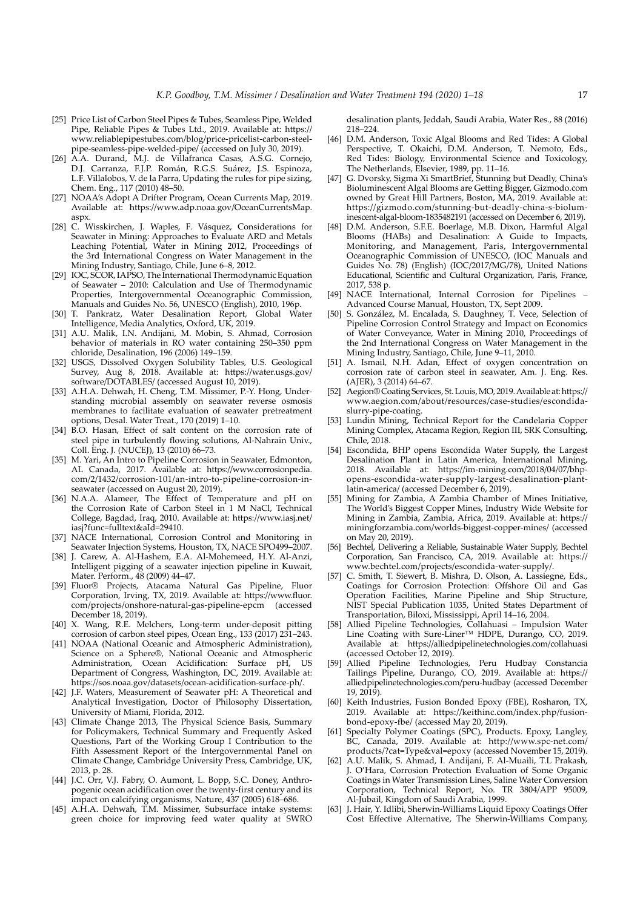- [25] Price List of Carbon Steel Pipes & Tubes, Seamless Pipe, Welded Pipe, Reliable Pipes & Tubes Ltd., 2019. Available at: https:// www.reliablepipestubes.com/blog/price-pricelist-carbon-steelpipe-seamless-pipe-welded-pipe/ (accessed on July 30, 2019).
- [26] A.A. Durand, M.J. de Villafranca Casas, A.S.G. Cornejo, D.J. Carranza, F.J.P. Román, R.G.S. Suárez, J.S. Espinoza, L.F. Villalobos, V. de la Parra, Updating the rules for pipe sizing, Chem. Eng., 117 (2010) 48–50.
- [27] NOAA's Adopt A Drifter Program, Ocean Currents Map, 2019. Available at: https://www.adp.noaa.gov/OceanCurrentsMap. aspx.
- [28] C. Wisskirchen, J. Waples, F. Vásquez, Considerations for Seawater in Mining: Approaches to Evaluate ARD and Metals Leaching Potential, Water in Mining 2012, Proceedings of the 3rd International Congress on Water Management in the Mining Industry, Santiago, Chile, June 6–8, 2012.
- [29] IOC, SCOR, IAPSO, The International Thermodynamic Equation of Seawater – 2010: Calculation and Use of Thermodynamic Properties, Intergovernmental Oceanographic Commission, Manuals and Guides No. 56, UNESCO (English), 2010, 196p.
- [30] T. Pankratz, Water Desalination Report, Global Water Intelligence, Media Analytics, Oxford, UK, 2019.
- [31] A.U. Malik, I.N. Andijani, M. Mobin, S. Ahmad, Corrosion behavior of materials in RO water containing 250–350 ppm chloride, Desalination, 196 (2006) 149–159.
- [32] USGS, Dissolved Oxygen Solubility Tables, U.S. Geological Survey, Aug 8, 2018. Available at: https://water.usgs.gov/ software/DOTABLES/ (accessed August 10, 2019).
- [33] A.H.A. Dehwah, H. Cheng, T.M. Missimer, P.-Y. Hong, Understanding microbial assembly on seawater reverse osmosis membranes to facilitate evaluation of seawater pretreatment options, Desal. Water Treat., 170 (2019) 1–10.
- [34] B.O. Hasan, Effect of salt content on the corrosion rate of steel pipe in turbulently flowing solutions, Al-Nahrain Univ., Coll. Eng. J. (NUCEJ), 13 (2010) 66–73.
- [35] M. Yari, An Intro to Pipeline Corrosion in Seawater, Edmonton, AL Canada, 2017. Available at: https://www.corrosionpedia. com/2/1432/corrosion-101/an-intro-to-pipeline-corrosion-inseawater (accessed on August 20, 2019).
- [36] N.A.A. Alameer, The Effect of Temperature and pH on the Corrosion Rate of Carbon Steel in 1 M NaCl, Technical College, Bagdad, Iraq, 2010. Available at: https://www.iasj.net/ iasj?func=fulltext&aId=29410.
- [37] NACE International, Corrosion Control and Monitoring in Seawater Injection Systems, Houston, TX, NACE SPO499–2007.
- [38] J. Carew, A. Al-Hashem, E.A. Al-Mohemeed, H.Y. Al-Anzi, Intelligent pigging of a seawater injection pipeline in Kuwait, Mater. Perform., 48 (2009) 44–47.
- [39] Fluor® Projects, Atacama Natural Gas Pipeline, Fluor Corporation, Irving, TX, 2019. Available at: https://www.fluor. com/projects/onshore-natural-gas-pipeline-epcm (accessed December 18, 2019).
- [40] X. Wang, R.E. Melchers, Long-term under-deposit pitting corrosion of carbon steel pipes, Ocean Eng., 133 (2017) 231–243.
- [41] NOAA (National Oceanic and Atmospheric Administration), Science on a Sphere®, National Oceanic and Atmospheric Administration, Ocean Acidification: Surface pH, US Department of Congress, Washington, DC, 2019. Available at: https://sos.noaa.gov/datasets/ocean-acidification-surface-ph/.
- [42] J.F. Waters, Measurement of Seawater pH: A Theoretical and Analytical Investigation, Doctor of Philosophy Dissertation, University of Miami, Florida, 2012.
- [43] Climate Change 2013, The Physical Science Basis, Summary for Policymakers, Technical Summary and Frequently Asked Questions, Part of the Working Group I Contribution to the Fifth Assessment Report of the Intergovernmental Panel on Climate Change, Cambridge University Press, Cambridge, UK, 2013, p. 28.
- [44] J.C. Orr, V.J. Fabry, O. Aumont, L. Bopp, S.C. Doney, Anthropogenic ocean acidification over the twenty-first century and its impact on calcifying organisms, Nature, 437 (2005) 618–686.
- [45] A.H.A. Dehwah, T.M. Missimer, Subsurface intake systems: green choice for improving feed water quality at SWRO

desalination plants, Jeddah, Saudi Arabia, Water Res., 88 (2016) 218–224.

- [46] D.M. Anderson, Toxic Algal Blooms and Red Tides: A Global Perspective, T. Okaichi, D.M. Anderson, T. Nemoto, Eds., Red Tides: Biology, Environmental Science and Toxicology, The Netherlands, Elsevier, 1989, pp. 11–16.
- [47] G. Dvorsky, Sigma Xi SmartBrief, Stunning but Deadly, China's Bioluminescent Algal Blooms are Getting Bigger, Gizmodo.com owned by Great Hill Partners, Boston, MA, 2019. Available at: https://gizmodo.com/stunning-but-deadly-china-s-bioluminescent-algal-bloom-1835482191 (accessed on December 6, 2019).
- [48] D.M. Anderson, S.F.E. Boerlage, M.B. Dixon, Harmful Algal Blooms (HABs) and Desalination: A Guide to Impacts, Monitoring, and Management, Paris, Intergovernmental Oceanographic Commission of UNESCO, (IOC Manuals and Guides No. 78) (English) (IOC/2017/MG/78), United Nations Educational, Scientific and Cultural Organization, Paris, France, 2017, 538 p.
- [49] NACE International, Internal Corrosion for Pipelines Advanced Course Manual, Houston, TX, Sept 2009.
- [50] S. González, M. Encalada, S. Daughney, T. Vece, Selection of Pipeline Corrosion Control Strategy and Impact on Economics of Water Conveyance, Water in Mining 2010, Proceedings of the 2nd International Congress on Water Management in the Mining Industry, Santiago, Chile, June 9–11, 2010.
- [51] A. Ismail, N.H. Adan, Effect of oxygen concentration on corrosion rate of carbon steel in seawater, Am. J. Eng. Res. (AJER), 3 (2014) 64–67.
- [52] Aegion® Coating Services, St. Louis, MO, 2019. Available at: https:// www.aegion.com/about/resources/case-studies/escondidaslurry-pipe-coating.
- [53] Lundin Mining, Technical Report for the Candelaria Copper Mining Complex, Atacama Region, Region III, SRK Consulting, Chile, 2018.
- [54] Escondida, BHP opens Escondida Water Supply, the Largest Desalination Plant in Latin America, International Mining, 2018. Available at: https://im-mining.com/2018/04/07/bhpopens-escondida-water-supply-largest-desalination-plantlatin-america/ (accessed December 6, 2019).
- [55] Mining for Zambia, A Zambia Chamber of Mines Initiative, The World's Biggest Copper Mines, Industry Wide Website for Mining in Zambia, Zambia, Africa, 2019. Available at: https:// miningforzambia.com/worlds-biggest-copper-mines/ (accessed on May 20, 2019).
- [56] Bechtel, Delivering a Reliable, Sustainable Water Supply, Bechtel Corporation, San Francisco, CA, 2019. Available at: https:// www.bechtel.com/projects/escondida-water-supply/.
- [57] C. Smith, T. Siewert, B. Mishra, D. Olson, A. Lassiegne, Eds., Coatings for Corrosion Protection: Offshore Oil and Gas Operation Facilities, Marine Pipeline and Ship Structure, NIST Special Publication 1035, United States Department of Transportation, Biloxi, Mississippi, April 14–16, 2004.
- [58] Allied Pipeline Technologies, Collahuasi Impulsion Water Line Coating with Sure-Liner™ HDPE, Durango, CO, 2019. Available at: https://alliedpipelinetechnologies.com/collahuasi (accessed October 12, 2019).
- [59] Allied Pipeline Technologies, Peru Hudbay Constancia Tailings Pipeline, Durango, CO, 2019. Available at: https:// alliedpipelinetechnologies.com/peru-hudbay (accessed December 19, 2019).
- [60] Keith Industries, Fusion Bonded Epoxy (FBE), Rosharon, TX, 2019. Available at: https://keithinc.com/index.php/fusionbond-epoxy-fbe/ (accessed May 20, 2019).
- [61] Specialty Polymer Coatings (SPC), Products. Epoxy, Langley, BC, Canada, 2019. Available at: http://www.spc-net.com/ products/?cat=Type&val=epoxy (accessed November 15, 2019).
- [62] A.U. Malik, S. Ahmad, I. Andijani, F. Al-Muaili, T.L Prakash, J. O'Hara, Corrosion Protection Evaluation of Some Organic Coatings in Water Transmission Lines, Saline Water Conversion Corporation, Technical Report, No. TR 3804/APP 95009, Al-Jubail, Kingdom of Saudi Arabia, 1999.
- [63] J. Hair, Y. Idlibi, Sherwin-Williams Liquid Epoxy Coatings Offer Cost Effective Alternative, The Sherwin-Williams Company,